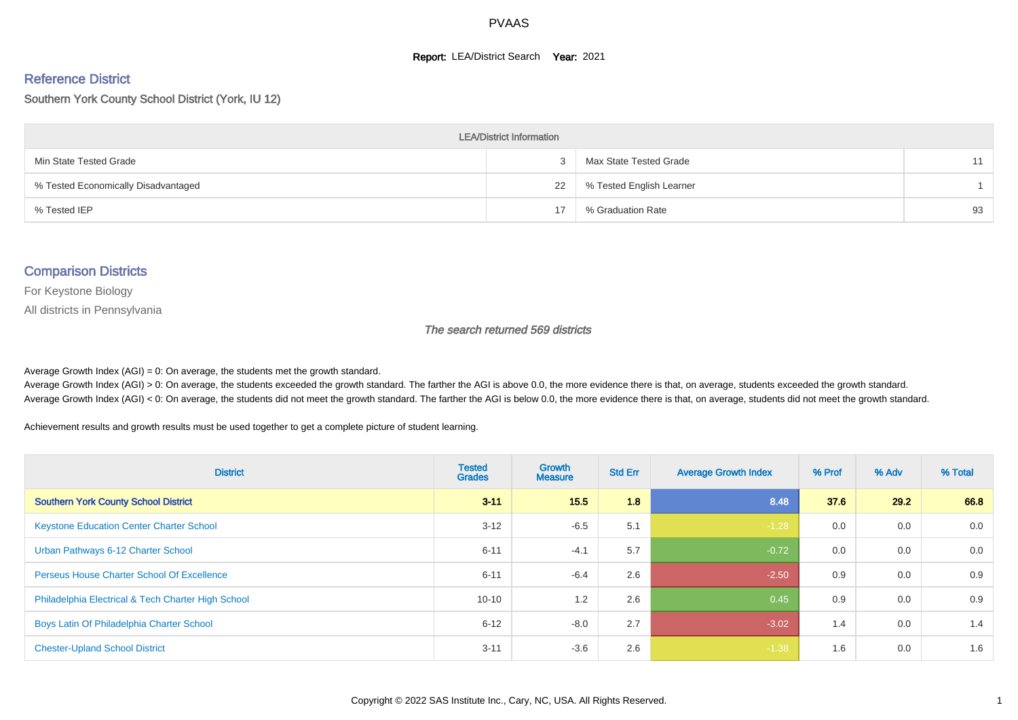#### **Report: LEA/District Search Year: 2021**

#### Reference District

#### Southern York County School District (York, IU 12)

| <b>LEA/District Information</b>     |    |                          |    |  |  |  |  |  |  |  |
|-------------------------------------|----|--------------------------|----|--|--|--|--|--|--|--|
| Min State Tested Grade              | 3  | Max State Tested Grade   |    |  |  |  |  |  |  |  |
| % Tested Economically Disadvantaged | 22 | % Tested English Learner |    |  |  |  |  |  |  |  |
| % Tested IEP                        | 17 | % Graduation Rate        | 93 |  |  |  |  |  |  |  |

#### Comparison Districts

For Keystone Biology

All districts in Pennsylvania

The search returned 569 districts

Average Growth Index  $(AGI) = 0$ : On average, the students met the growth standard.

Average Growth Index (AGI) > 0: On average, the students exceeded the growth standard. The farther the AGI is above 0.0, the more evidence there is that, on average, students exceeded the growth standard. Average Growth Index (AGI) < 0: On average, the students did not meet the growth standard. The farther the AGI is below 0.0, the more evidence there is that, on average, students did not meet the growth standard.

Achievement results and growth results must be used together to get a complete picture of student learning.

| <b>District</b>                                    | <b>Tested</b><br><b>Grades</b> | <b>Growth</b><br><b>Measure</b> | <b>Std Err</b> | <b>Average Growth Index</b> | % Prof | % Adv | % Total |
|----------------------------------------------------|--------------------------------|---------------------------------|----------------|-----------------------------|--------|-------|---------|
| <b>Southern York County School District</b>        | $3 - 11$                       | 15.5                            | 1.8            | 8.48                        | 37.6   | 29.2  | 66.8    |
| <b>Keystone Education Center Charter School</b>    | $3 - 12$                       | $-6.5$                          | 5.1            | $-1.28$                     | 0.0    | 0.0   | 0.0     |
| Urban Pathways 6-12 Charter School                 | $6 - 11$                       | $-4.1$                          | 5.7            | $-0.72$                     | 0.0    | 0.0   | 0.0     |
| <b>Perseus House Charter School Of Excellence</b>  | $6 - 11$                       | $-6.4$                          | 2.6            | $-2.50$                     | 0.9    | 0.0   | 0.9     |
| Philadelphia Electrical & Tech Charter High School | $10 - 10$                      | 1.2                             | 2.6            | 0.45                        | 0.9    | 0.0   | 0.9     |
| Boys Latin Of Philadelphia Charter School          | $6 - 12$                       | $-8.0$                          | 2.7            | $-3.02$                     | 1.4    | 0.0   | 1.4     |
| <b>Chester-Upland School District</b>              | $3 - 11$                       | $-3.6$                          | 2.6            | $-1.38$                     | 1.6    | 0.0   | 1.6     |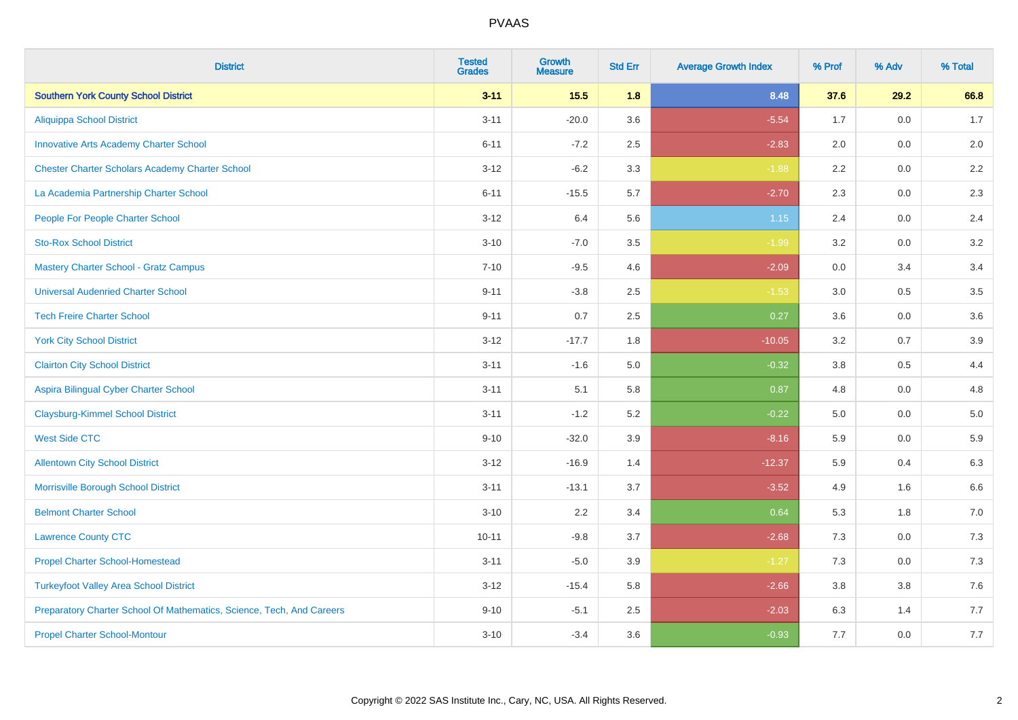| <b>District</b>                                                       | <b>Tested</b><br><b>Grades</b> | <b>Growth</b><br><b>Measure</b> | <b>Std Err</b> | <b>Average Growth Index</b> | % Prof | % Adv   | % Total |
|-----------------------------------------------------------------------|--------------------------------|---------------------------------|----------------|-----------------------------|--------|---------|---------|
| <b>Southern York County School District</b>                           | $3 - 11$                       | $15.5$                          | 1.8            | 8.48                        | 37.6   | 29.2    | 66.8    |
| <b>Aliquippa School District</b>                                      | $3 - 11$                       | $-20.0$                         | 3.6            | $-5.54$                     | 1.7    | 0.0     | 1.7     |
| <b>Innovative Arts Academy Charter School</b>                         | $6 - 11$                       | $-7.2$                          | 2.5            | $-2.83$                     | 2.0    | 0.0     | 2.0     |
| <b>Chester Charter Scholars Academy Charter School</b>                | $3 - 12$                       | $-6.2$                          | 3.3            | $-1.88$                     | 2.2    | $0.0\,$ | 2.2     |
| La Academia Partnership Charter School                                | $6 - 11$                       | $-15.5$                         | 5.7            | $-2.70$                     | 2.3    | 0.0     | 2.3     |
| People For People Charter School                                      | $3 - 12$                       | 6.4                             | 5.6            | $1.15$                      | 2.4    | 0.0     | 2.4     |
| <b>Sto-Rox School District</b>                                        | $3 - 10$                       | $-7.0$                          | 3.5            | $-1.99$                     | 3.2    | 0.0     | 3.2     |
| <b>Mastery Charter School - Gratz Campus</b>                          | $7 - 10$                       | $-9.5$                          | 4.6            | $-2.09$                     | 0.0    | 3.4     | 3.4     |
| <b>Universal Audenried Charter School</b>                             | $9 - 11$                       | $-3.8$                          | 2.5            | $-1.53$                     | 3.0    | 0.5     | 3.5     |
| <b>Tech Freire Charter School</b>                                     | $9 - 11$                       | 0.7                             | 2.5            | 0.27                        | 3.6    | 0.0     | 3.6     |
| <b>York City School District</b>                                      | $3 - 12$                       | $-17.7$                         | 1.8            | $-10.05$                    | 3.2    | 0.7     | 3.9     |
| <b>Clairton City School District</b>                                  | $3 - 11$                       | $-1.6$                          | 5.0            | $-0.32$                     | 3.8    | 0.5     | 4.4     |
| Aspira Bilingual Cyber Charter School                                 | $3 - 11$                       | 5.1                             | 5.8            | 0.87                        | 4.8    | $0.0\,$ | 4.8     |
| <b>Claysburg-Kimmel School District</b>                               | $3 - 11$                       | $-1.2$                          | 5.2            | $-0.22$                     | 5.0    | 0.0     | $5.0$   |
| <b>West Side CTC</b>                                                  | $9 - 10$                       | $-32.0$                         | 3.9            | $-8.16$                     | 5.9    | 0.0     | 5.9     |
| <b>Allentown City School District</b>                                 | $3 - 12$                       | $-16.9$                         | 1.4            | $-12.37$                    | 5.9    | 0.4     | 6.3     |
| Morrisville Borough School District                                   | $3 - 11$                       | $-13.1$                         | 3.7            | $-3.52$                     | 4.9    | 1.6     | 6.6     |
| <b>Belmont Charter School</b>                                         | $3 - 10$                       | 2.2                             | 3.4            | 0.64                        | 5.3    | 1.8     | $7.0$   |
| <b>Lawrence County CTC</b>                                            | $10 - 11$                      | $-9.8$                          | 3.7            | $-2.68$                     | 7.3    | 0.0     | $7.3$   |
| <b>Propel Charter School-Homestead</b>                                | $3 - 11$                       | $-5.0$                          | 3.9            | $-1.27$                     | 7.3    | 0.0     | $7.3$   |
| <b>Turkeyfoot Valley Area School District</b>                         | $3 - 12$                       | $-15.4$                         | 5.8            | $-2.66$                     | 3.8    | 3.8     | 7.6     |
| Preparatory Charter School Of Mathematics, Science, Tech, And Careers | $9 - 10$                       | $-5.1$                          | 2.5            | $-2.03$                     | 6.3    | 1.4     | 7.7     |
| <b>Propel Charter School-Montour</b>                                  | $3 - 10$                       | $-3.4$                          | 3.6            | $-0.93$                     | 7.7    | 0.0     | 7.7     |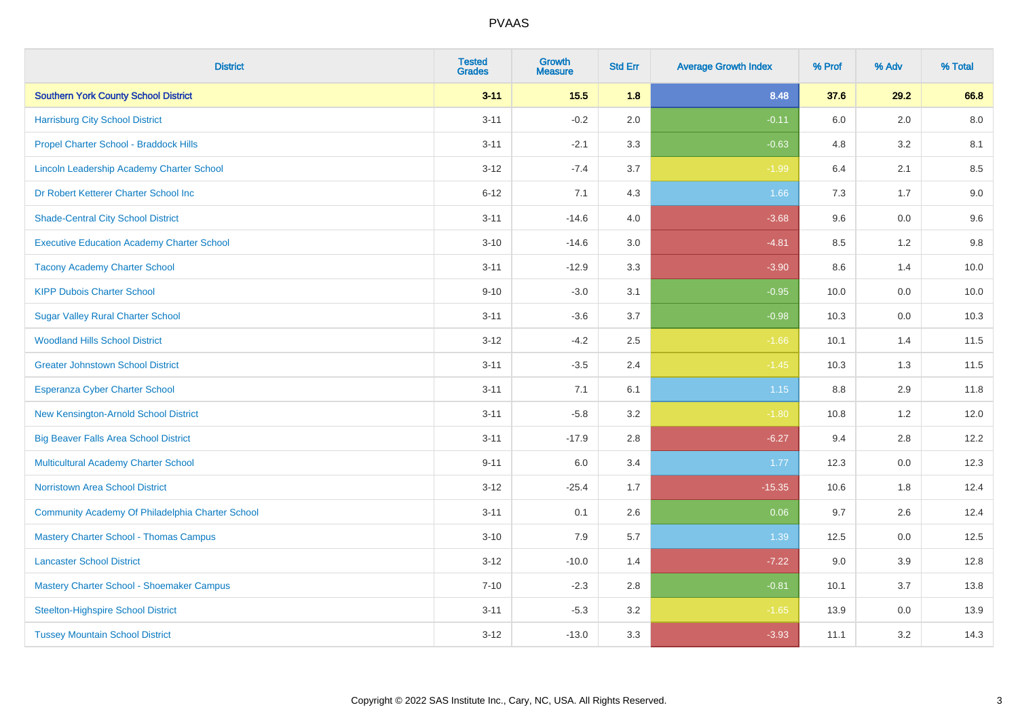| <b>District</b>                                   | <b>Tested</b><br><b>Grades</b> | <b>Growth</b><br><b>Measure</b> | <b>Std Err</b> | <b>Average Growth Index</b> | % Prof | % Adv   | % Total |
|---------------------------------------------------|--------------------------------|---------------------------------|----------------|-----------------------------|--------|---------|---------|
| <b>Southern York County School District</b>       | $3 - 11$                       | $15.5$                          | 1.8            | 8.48                        | 37.6   | 29.2    | 66.8    |
| <b>Harrisburg City School District</b>            | $3 - 11$                       | $-0.2$                          | 2.0            | $-0.11$                     | 6.0    | 2.0     | 8.0     |
| Propel Charter School - Braddock Hills            | $3 - 11$                       | $-2.1$                          | 3.3            | $-0.63$                     | 4.8    | 3.2     | 8.1     |
| Lincoln Leadership Academy Charter School         | $3 - 12$                       | $-7.4$                          | 3.7            | $-1.99$                     | 6.4    | 2.1     | 8.5     |
| Dr Robert Ketterer Charter School Inc             | $6 - 12$                       | 7.1                             | 4.3            | 1.66                        | 7.3    | 1.7     | 9.0     |
| <b>Shade-Central City School District</b>         | $3 - 11$                       | $-14.6$                         | 4.0            | $-3.68$                     | 9.6    | 0.0     | 9.6     |
| <b>Executive Education Academy Charter School</b> | $3 - 10$                       | $-14.6$                         | 3.0            | $-4.81$                     | 8.5    | 1.2     | 9.8     |
| <b>Tacony Academy Charter School</b>              | $3 - 11$                       | $-12.9$                         | 3.3            | $-3.90$                     | 8.6    | 1.4     | 10.0    |
| <b>KIPP Dubois Charter School</b>                 | $9 - 10$                       | $-3.0$                          | 3.1            | $-0.95$                     | 10.0   | 0.0     | 10.0    |
| <b>Sugar Valley Rural Charter School</b>          | $3 - 11$                       | $-3.6$                          | 3.7            | $-0.98$                     | 10.3   | 0.0     | 10.3    |
| <b>Woodland Hills School District</b>             | $3 - 12$                       | $-4.2$                          | 2.5            | $-1.66$                     | 10.1   | 1.4     | 11.5    |
| <b>Greater Johnstown School District</b>          | $3 - 11$                       | $-3.5$                          | 2.4            | $-1.45$                     | 10.3   | 1.3     | 11.5    |
| Esperanza Cyber Charter School                    | $3 - 11$                       | 7.1                             | 6.1            | $1.15$                      | 8.8    | 2.9     | 11.8    |
| New Kensington-Arnold School District             | $3 - 11$                       | $-5.8$                          | 3.2            | $-1.80$                     | 10.8   | 1.2     | 12.0    |
| <b>Big Beaver Falls Area School District</b>      | $3 - 11$                       | $-17.9$                         | 2.8            | $-6.27$                     | 9.4    | 2.8     | 12.2    |
| <b>Multicultural Academy Charter School</b>       | $9 - 11$                       | 6.0                             | 3.4            | 1.77                        | 12.3   | $0.0\,$ | 12.3    |
| <b>Norristown Area School District</b>            | $3 - 12$                       | $-25.4$                         | 1.7            | $-15.35$                    | 10.6   | 1.8     | 12.4    |
| Community Academy Of Philadelphia Charter School  | $3 - 11$                       | 0.1                             | 2.6            | 0.06                        | 9.7    | 2.6     | 12.4    |
| <b>Mastery Charter School - Thomas Campus</b>     | $3 - 10$                       | 7.9                             | 5.7            | 1.39                        | 12.5   | 0.0     | 12.5    |
| <b>Lancaster School District</b>                  | $3 - 12$                       | $-10.0$                         | 1.4            | $-7.22$                     | 9.0    | 3.9     | 12.8    |
| Mastery Charter School - Shoemaker Campus         | $7 - 10$                       | $-2.3$                          | 2.8            | $-0.81$                     | 10.1   | 3.7     | 13.8    |
| <b>Steelton-Highspire School District</b>         | $3 - 11$                       | $-5.3$                          | 3.2            | $-1.65$                     | 13.9   | $0.0\,$ | 13.9    |
| <b>Tussey Mountain School District</b>            | $3 - 12$                       | $-13.0$                         | 3.3            | $-3.93$                     | 11.1   | 3.2     | 14.3    |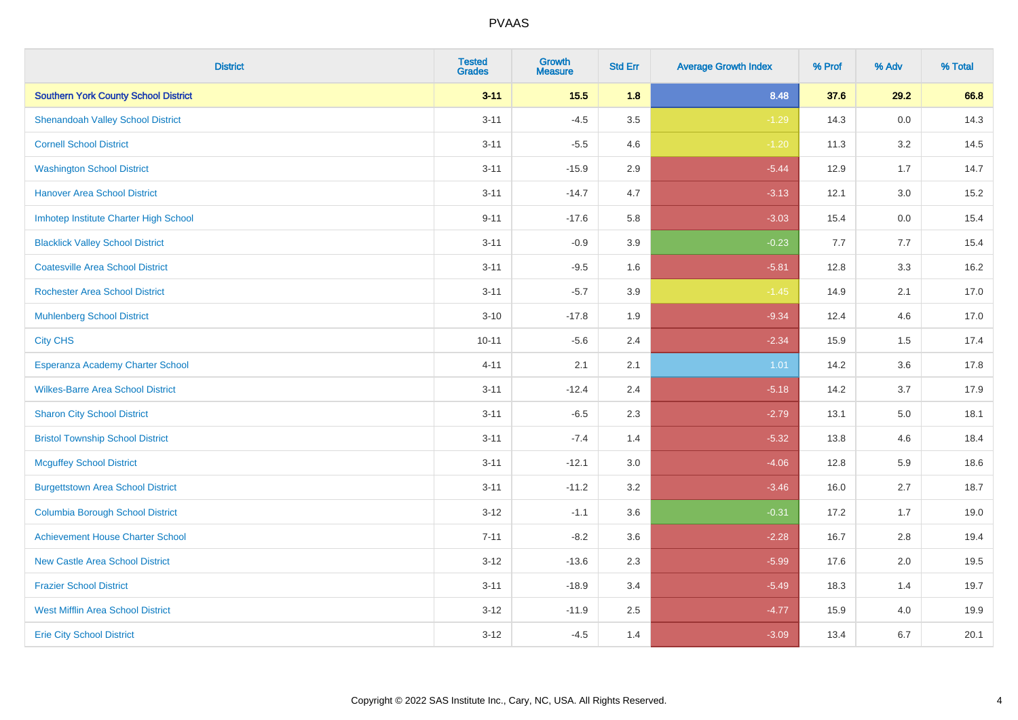| <b>District</b>                             | <b>Tested</b><br><b>Grades</b> | <b>Growth</b><br><b>Measure</b> | <b>Std Err</b> | <b>Average Growth Index</b> | % Prof | % Adv | % Total |
|---------------------------------------------|--------------------------------|---------------------------------|----------------|-----------------------------|--------|-------|---------|
| <b>Southern York County School District</b> | $3 - 11$                       | $15.5$                          | 1.8            | 8.48                        | 37.6   | 29.2  | 66.8    |
| <b>Shenandoah Valley School District</b>    | $3 - 11$                       | $-4.5$                          | 3.5            | $-1.29$                     | 14.3   | 0.0   | 14.3    |
| <b>Cornell School District</b>              | $3 - 11$                       | $-5.5$                          | 4.6            | $-1.20$                     | 11.3   | 3.2   | 14.5    |
| <b>Washington School District</b>           | $3 - 11$                       | $-15.9$                         | 2.9            | $-5.44$                     | 12.9   | 1.7   | 14.7    |
| <b>Hanover Area School District</b>         | $3 - 11$                       | $-14.7$                         | 4.7            | $-3.13$                     | 12.1   | 3.0   | 15.2    |
| Imhotep Institute Charter High School       | $9 - 11$                       | $-17.6$                         | 5.8            | $-3.03$                     | 15.4   | 0.0   | 15.4    |
| <b>Blacklick Valley School District</b>     | $3 - 11$                       | $-0.9$                          | 3.9            | $-0.23$                     | 7.7    | 7.7   | 15.4    |
| <b>Coatesville Area School District</b>     | $3 - 11$                       | $-9.5$                          | 1.6            | $-5.81$                     | 12.8   | 3.3   | 16.2    |
| <b>Rochester Area School District</b>       | $3 - 11$                       | $-5.7$                          | 3.9            | $-1.45$                     | 14.9   | 2.1   | 17.0    |
| <b>Muhlenberg School District</b>           | $3 - 10$                       | $-17.8$                         | 1.9            | $-9.34$                     | 12.4   | 4.6   | 17.0    |
| <b>City CHS</b>                             | $10 - 11$                      | $-5.6$                          | 2.4            | $-2.34$                     | 15.9   | 1.5   | 17.4    |
| Esperanza Academy Charter School            | $4 - 11$                       | 2.1                             | 2.1            | 1.01                        | 14.2   | 3.6   | 17.8    |
| <b>Wilkes-Barre Area School District</b>    | $3 - 11$                       | $-12.4$                         | 2.4            | $-5.18$                     | 14.2   | 3.7   | 17.9    |
| <b>Sharon City School District</b>          | $3 - 11$                       | $-6.5$                          | 2.3            | $-2.79$                     | 13.1   | 5.0   | 18.1    |
| <b>Bristol Township School District</b>     | $3 - 11$                       | $-7.4$                          | 1.4            | $-5.32$                     | 13.8   | 4.6   | 18.4    |
| <b>Mcguffey School District</b>             | $3 - 11$                       | $-12.1$                         | 3.0            | $-4.06$                     | 12.8   | 5.9   | 18.6    |
| <b>Burgettstown Area School District</b>    | $3 - 11$                       | $-11.2$                         | 3.2            | $-3.46$                     | 16.0   | 2.7   | 18.7    |
| <b>Columbia Borough School District</b>     | $3 - 12$                       | $-1.1$                          | 3.6            | $-0.31$                     | 17.2   | 1.7   | 19.0    |
| <b>Achievement House Charter School</b>     | $7 - 11$                       | $-8.2$                          | 3.6            | $-2.28$                     | 16.7   | 2.8   | 19.4    |
| <b>New Castle Area School District</b>      | $3 - 12$                       | $-13.6$                         | 2.3            | $-5.99$                     | 17.6   | 2.0   | 19.5    |
| <b>Frazier School District</b>              | $3 - 11$                       | $-18.9$                         | 3.4            | $-5.49$                     | 18.3   | 1.4   | 19.7    |
| <b>West Mifflin Area School District</b>    | $3 - 12$                       | $-11.9$                         | 2.5            | $-4.77$                     | 15.9   | 4.0   | 19.9    |
| <b>Erie City School District</b>            | $3 - 12$                       | $-4.5$                          | 1.4            | $-3.09$                     | 13.4   | 6.7   | 20.1    |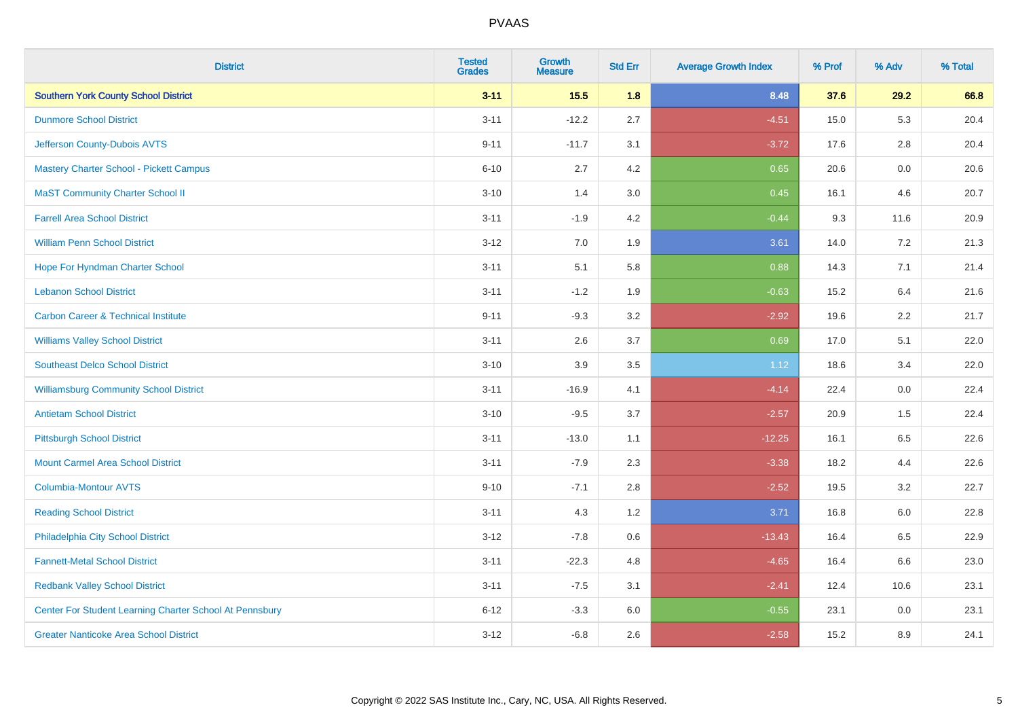| <b>District</b>                                         | <b>Tested</b><br><b>Grades</b> | <b>Growth</b><br><b>Measure</b> | <b>Std Err</b> | <b>Average Growth Index</b> | % Prof | % Adv   | % Total |
|---------------------------------------------------------|--------------------------------|---------------------------------|----------------|-----------------------------|--------|---------|---------|
| <b>Southern York County School District</b>             | $3 - 11$                       | $15.5$                          | 1.8            | 8.48                        | 37.6   | 29.2    | 66.8    |
| <b>Dunmore School District</b>                          | $3 - 11$                       | $-12.2$                         | 2.7            | $-4.51$                     | 15.0   | 5.3     | 20.4    |
| Jefferson County-Dubois AVTS                            | $9 - 11$                       | $-11.7$                         | 3.1            | $-3.72$                     | 17.6   | 2.8     | 20.4    |
| <b>Mastery Charter School - Pickett Campus</b>          | $6 - 10$                       | 2.7                             | 4.2            | 0.65                        | 20.6   | $0.0\,$ | 20.6    |
| <b>MaST Community Charter School II</b>                 | $3 - 10$                       | 1.4                             | 3.0            | 0.45                        | 16.1   | 4.6     | 20.7    |
| <b>Farrell Area School District</b>                     | $3 - 11$                       | $-1.9$                          | 4.2            | $-0.44$                     | 9.3    | 11.6    | 20.9    |
| <b>William Penn School District</b>                     | $3 - 12$                       | 7.0                             | 1.9            | 3.61                        | 14.0   | 7.2     | 21.3    |
| Hope For Hyndman Charter School                         | $3 - 11$                       | 5.1                             | 5.8            | 0.88                        | 14.3   | 7.1     | 21.4    |
| <b>Lebanon School District</b>                          | $3 - 11$                       | $-1.2$                          | 1.9            | $-0.63$                     | 15.2   | 6.4     | 21.6    |
| <b>Carbon Career &amp; Technical Institute</b>          | $9 - 11$                       | $-9.3$                          | 3.2            | $-2.92$                     | 19.6   | 2.2     | 21.7    |
| <b>Williams Valley School District</b>                  | $3 - 11$                       | 2.6                             | 3.7            | 0.69                        | 17.0   | 5.1     | 22.0    |
| <b>Southeast Delco School District</b>                  | $3 - 10$                       | 3.9                             | 3.5            | 1.12                        | 18.6   | 3.4     | 22.0    |
| <b>Williamsburg Community School District</b>           | $3 - 11$                       | $-16.9$                         | 4.1            | $-4.14$                     | 22.4   | $0.0\,$ | 22.4    |
| <b>Antietam School District</b>                         | $3 - 10$                       | $-9.5$                          | 3.7            | $-2.57$                     | 20.9   | 1.5     | 22.4    |
| <b>Pittsburgh School District</b>                       | $3 - 11$                       | $-13.0$                         | 1.1            | $-12.25$                    | 16.1   | 6.5     | 22.6    |
| <b>Mount Carmel Area School District</b>                | $3 - 11$                       | $-7.9$                          | 2.3            | $-3.38$                     | 18.2   | 4.4     | 22.6    |
| <b>Columbia-Montour AVTS</b>                            | $9 - 10$                       | $-7.1$                          | 2.8            | $-2.52$                     | 19.5   | 3.2     | 22.7    |
| <b>Reading School District</b>                          | $3 - 11$                       | 4.3                             | 1.2            | 3.71                        | 16.8   | 6.0     | 22.8    |
| Philadelphia City School District                       | $3 - 12$                       | $-7.8$                          | 0.6            | $-13.43$                    | 16.4   | 6.5     | 22.9    |
| <b>Fannett-Metal School District</b>                    | $3 - 11$                       | $-22.3$                         | 4.8            | $-4.65$                     | 16.4   | 6.6     | 23.0    |
| <b>Redbank Valley School District</b>                   | $3 - 11$                       | $-7.5$                          | 3.1            | $-2.41$                     | 12.4   | 10.6    | 23.1    |
| Center For Student Learning Charter School At Pennsbury | $6 - 12$                       | $-3.3$                          | 6.0            | $-0.55$                     | 23.1   | 0.0     | 23.1    |
| <b>Greater Nanticoke Area School District</b>           | $3 - 12$                       | $-6.8$                          | 2.6            | $-2.58$                     | 15.2   | 8.9     | 24.1    |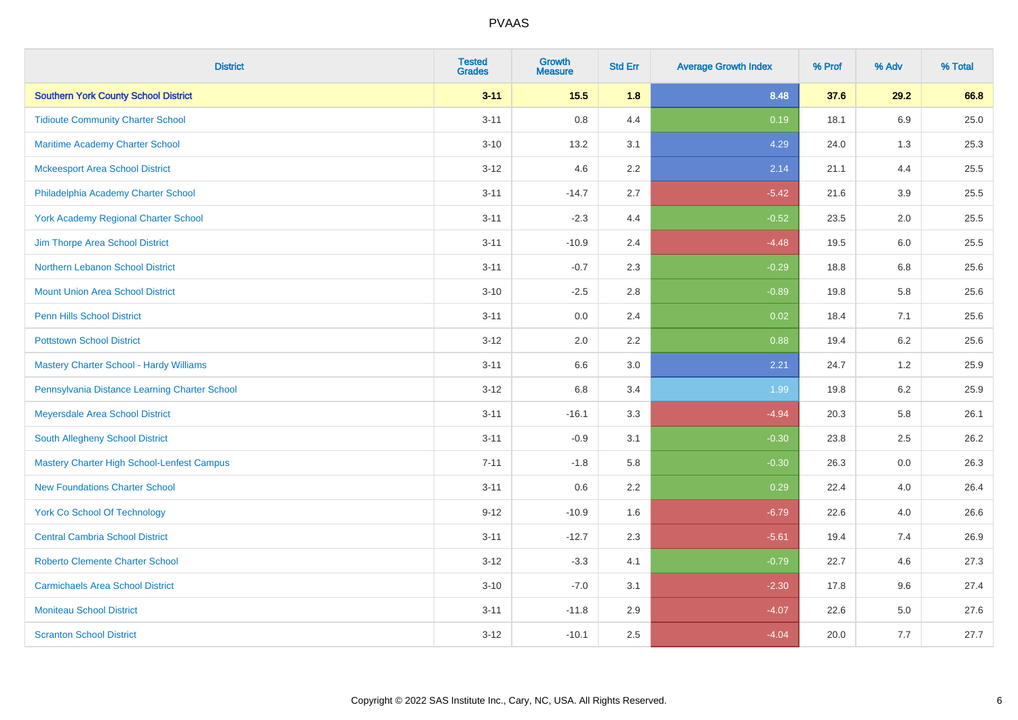| <b>District</b>                                   | <b>Tested</b><br><b>Grades</b> | <b>Growth</b><br><b>Measure</b> | <b>Std Err</b> | <b>Average Growth Index</b> | % Prof | % Adv   | % Total |
|---------------------------------------------------|--------------------------------|---------------------------------|----------------|-----------------------------|--------|---------|---------|
| <b>Southern York County School District</b>       | $3 - 11$                       | $15.5$                          | 1.8            | 8.48                        | 37.6   | 29.2    | 66.8    |
| <b>Tidioute Community Charter School</b>          | $3 - 11$                       | $0.8\,$                         | 4.4            | 0.19                        | 18.1   | 6.9     | 25.0    |
| Maritime Academy Charter School                   | $3 - 10$                       | 13.2                            | 3.1            | 4.29                        | 24.0   | 1.3     | 25.3    |
| <b>Mckeesport Area School District</b>            | $3 - 12$                       | 4.6                             | 2.2            | 2.14                        | 21.1   | 4.4     | 25.5    |
| Philadelphia Academy Charter School               | $3 - 11$                       | $-14.7$                         | 2.7            | $-5.42$                     | 21.6   | 3.9     | 25.5    |
| <b>York Academy Regional Charter School</b>       | $3 - 11$                       | $-2.3$                          | 4.4            | $-0.52$                     | 23.5   | 2.0     | 25.5    |
| Jim Thorpe Area School District                   | $3 - 11$                       | $-10.9$                         | 2.4            | $-4.48$                     | 19.5   | 6.0     | 25.5    |
| Northern Lebanon School District                  | $3 - 11$                       | $-0.7$                          | 2.3            | $-0.29$                     | 18.8   | 6.8     | 25.6    |
| <b>Mount Union Area School District</b>           | $3 - 10$                       | $-2.5$                          | 2.8            | $-0.89$                     | 19.8   | 5.8     | 25.6    |
| Penn Hills School District                        | $3 - 11$                       | 0.0                             | 2.4            | 0.02                        | 18.4   | 7.1     | 25.6    |
| <b>Pottstown School District</b>                  | $3 - 12$                       | 2.0                             | 2.2            | 0.88                        | 19.4   | 6.2     | 25.6    |
| <b>Mastery Charter School - Hardy Williams</b>    | $3 - 11$                       | 6.6                             | 3.0            | 2.21                        | 24.7   | 1.2     | 25.9    |
| Pennsylvania Distance Learning Charter School     | $3 - 12$                       | $6.8\,$                         | 3.4            | 1.99                        | 19.8   | $6.2\,$ | 25.9    |
| Meyersdale Area School District                   | $3 - 11$                       | $-16.1$                         | 3.3            | $-4.94$                     | 20.3   | 5.8     | 26.1    |
| South Allegheny School District                   | $3 - 11$                       | $-0.9$                          | 3.1            | $-0.30$                     | 23.8   | 2.5     | 26.2    |
| <b>Mastery Charter High School-Lenfest Campus</b> | $7 - 11$                       | $-1.8$                          | 5.8            | $-0.30$                     | 26.3   | 0.0     | 26.3    |
| <b>New Foundations Charter School</b>             | $3 - 11$                       | 0.6                             | 2.2            | 0.29                        | 22.4   | 4.0     | 26.4    |
| <b>York Co School Of Technology</b>               | $9 - 12$                       | $-10.9$                         | 1.6            | $-6.79$                     | 22.6   | 4.0     | 26.6    |
| <b>Central Cambria School District</b>            | $3 - 11$                       | $-12.7$                         | 2.3            | $-5.61$                     | 19.4   | 7.4     | 26.9    |
| <b>Roberto Clemente Charter School</b>            | $3 - 12$                       | $-3.3$                          | 4.1            | $-0.79$                     | 22.7   | 4.6     | 27.3    |
| <b>Carmichaels Area School District</b>           | $3 - 10$                       | $-7.0$                          | 3.1            | $-2.30$                     | 17.8   | 9.6     | 27.4    |
| <b>Moniteau School District</b>                   | $3 - 11$                       | $-11.8$                         | 2.9            | $-4.07$                     | 22.6   | 5.0     | 27.6    |
| <b>Scranton School District</b>                   | $3 - 12$                       | $-10.1$                         | 2.5            | $-4.04$                     | 20.0   | 7.7     | 27.7    |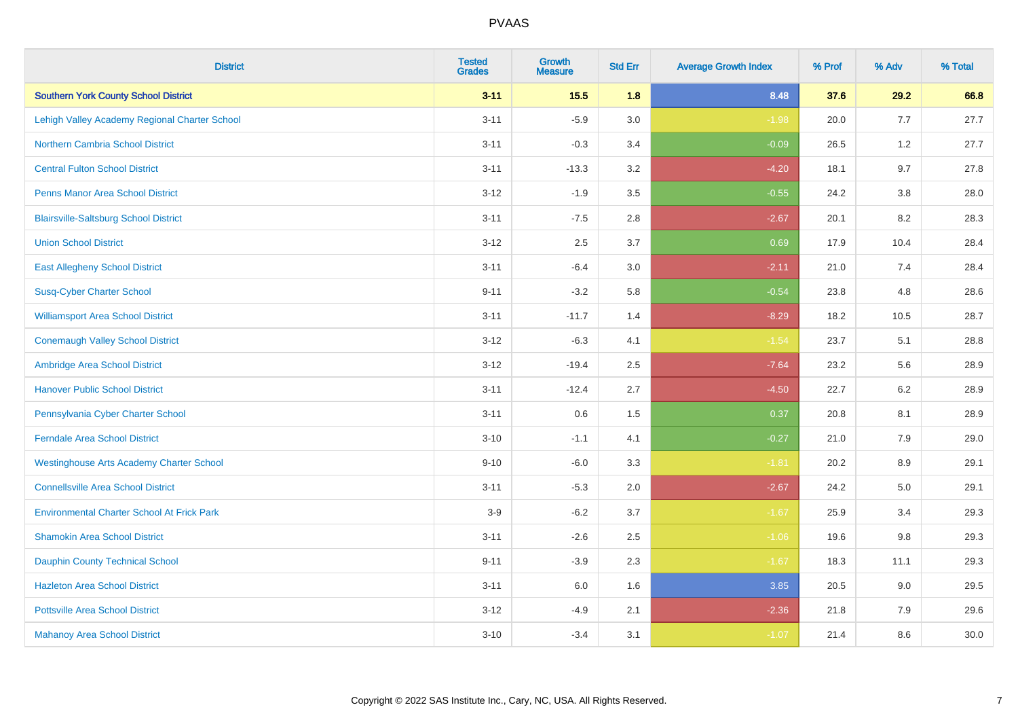| <b>District</b>                                   | <b>Tested</b><br><b>Grades</b> | <b>Growth</b><br><b>Measure</b> | <b>Std Err</b> | <b>Average Growth Index</b> | % Prof | % Adv   | % Total |
|---------------------------------------------------|--------------------------------|---------------------------------|----------------|-----------------------------|--------|---------|---------|
| <b>Southern York County School District</b>       | $3 - 11$                       | $15.5$                          | 1.8            | 8.48                        | 37.6   | 29.2    | 66.8    |
| Lehigh Valley Academy Regional Charter School     | $3 - 11$                       | $-5.9$                          | 3.0            | $-1.98$                     | 20.0   | 7.7     | 27.7    |
| <b>Northern Cambria School District</b>           | $3 - 11$                       | $-0.3$                          | 3.4            | $-0.09$                     | 26.5   | 1.2     | 27.7    |
| <b>Central Fulton School District</b>             | $3 - 11$                       | $-13.3$                         | 3.2            | $-4.20$                     | 18.1   | 9.7     | 27.8    |
| <b>Penns Manor Area School District</b>           | $3 - 12$                       | $-1.9$                          | 3.5            | $-0.55$                     | 24.2   | 3.8     | 28.0    |
| <b>Blairsville-Saltsburg School District</b>      | $3 - 11$                       | $-7.5$                          | 2.8            | $-2.67$                     | 20.1   | 8.2     | 28.3    |
| <b>Union School District</b>                      | $3 - 12$                       | 2.5                             | 3.7            | 0.69                        | 17.9   | 10.4    | 28.4    |
| <b>East Allegheny School District</b>             | $3 - 11$                       | $-6.4$                          | 3.0            | $-2.11$                     | 21.0   | 7.4     | 28.4    |
| <b>Susq-Cyber Charter School</b>                  | $9 - 11$                       | $-3.2$                          | 5.8            | $-0.54$                     | 23.8   | 4.8     | 28.6    |
| <b>Williamsport Area School District</b>          | $3 - 11$                       | $-11.7$                         | 1.4            | $-8.29$                     | 18.2   | 10.5    | 28.7    |
| <b>Conemaugh Valley School District</b>           | $3 - 12$                       | $-6.3$                          | 4.1            | $-1.54$                     | 23.7   | 5.1     | 28.8    |
| Ambridge Area School District                     | $3 - 12$                       | $-19.4$                         | 2.5            | $-7.64$                     | 23.2   | 5.6     | 28.9    |
| <b>Hanover Public School District</b>             | $3 - 11$                       | $-12.4$                         | 2.7            | $-4.50$                     | 22.7   | $6.2\,$ | 28.9    |
| Pennsylvania Cyber Charter School                 | $3 - 11$                       | 0.6                             | 1.5            | 0.37                        | 20.8   | 8.1     | 28.9    |
| <b>Ferndale Area School District</b>              | $3 - 10$                       | $-1.1$                          | 4.1            | $-0.27$                     | 21.0   | 7.9     | 29.0    |
| <b>Westinghouse Arts Academy Charter School</b>   | $9 - 10$                       | $-6.0$                          | 3.3            | $-1.81$                     | 20.2   | 8.9     | 29.1    |
| <b>Connellsville Area School District</b>         | $3 - 11$                       | $-5.3$                          | 2.0            | $-2.67$                     | 24.2   | 5.0     | 29.1    |
| <b>Environmental Charter School At Frick Park</b> | $3-9$                          | $-6.2$                          | 3.7            | $-1.67$                     | 25.9   | 3.4     | 29.3    |
| <b>Shamokin Area School District</b>              | $3 - 11$                       | $-2.6$                          | 2.5            | $-1.06$                     | 19.6   | 9.8     | 29.3    |
| <b>Dauphin County Technical School</b>            | $9 - 11$                       | $-3.9$                          | 2.3            | $-1.67$                     | 18.3   | 11.1    | 29.3    |
| <b>Hazleton Area School District</b>              | $3 - 11$                       | 6.0                             | 1.6            | 3.85                        | 20.5   | 9.0     | 29.5    |
| <b>Pottsville Area School District</b>            | $3 - 12$                       | $-4.9$                          | 2.1            | $-2.36$                     | 21.8   | 7.9     | 29.6    |
| <b>Mahanoy Area School District</b>               | $3 - 10$                       | $-3.4$                          | 3.1            | $-1.07$                     | 21.4   | 8.6     | 30.0    |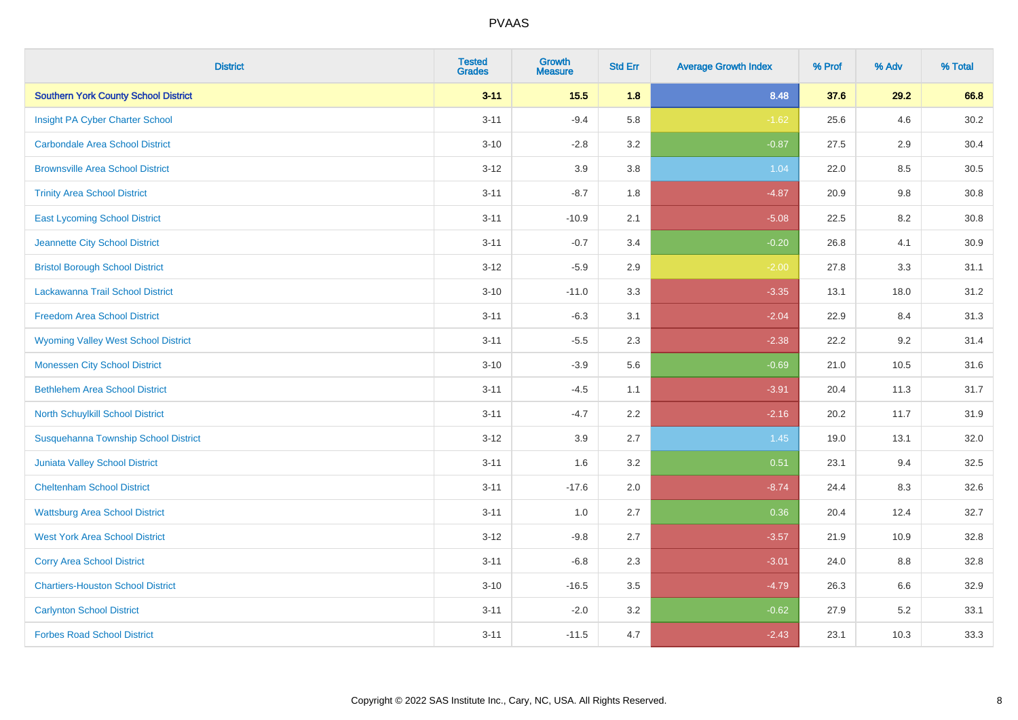| <b>District</b>                             | <b>Tested</b><br><b>Grades</b> | <b>Growth</b><br><b>Measure</b> | <b>Std Err</b> | <b>Average Growth Index</b> | % Prof | % Adv | % Total |
|---------------------------------------------|--------------------------------|---------------------------------|----------------|-----------------------------|--------|-------|---------|
| <b>Southern York County School District</b> | $3 - 11$                       | 15.5                            | 1.8            | 8.48                        | 37.6   | 29.2  | 66.8    |
| Insight PA Cyber Charter School             | $3 - 11$                       | $-9.4$                          | 5.8            | $-1.62$                     | 25.6   | 4.6   | 30.2    |
| <b>Carbondale Area School District</b>      | $3 - 10$                       | $-2.8$                          | 3.2            | $-0.87$                     | 27.5   | 2.9   | 30.4    |
| <b>Brownsville Area School District</b>     | $3 - 12$                       | 3.9                             | 3.8            | 1.04                        | 22.0   | 8.5   | 30.5    |
| <b>Trinity Area School District</b>         | $3 - 11$                       | $-8.7$                          | 1.8            | $-4.87$                     | 20.9   | 9.8   | 30.8    |
| <b>East Lycoming School District</b>        | $3 - 11$                       | $-10.9$                         | 2.1            | $-5.08$                     | 22.5   | 8.2   | 30.8    |
| Jeannette City School District              | $3 - 11$                       | $-0.7$                          | 3.4            | $-0.20$                     | 26.8   | 4.1   | 30.9    |
| <b>Bristol Borough School District</b>      | $3 - 12$                       | $-5.9$                          | 2.9            | $-2.00$                     | 27.8   | 3.3   | 31.1    |
| Lackawanna Trail School District            | $3 - 10$                       | $-11.0$                         | 3.3            | $-3.35$                     | 13.1   | 18.0  | 31.2    |
| <b>Freedom Area School District</b>         | $3 - 11$                       | $-6.3$                          | 3.1            | $-2.04$                     | 22.9   | 8.4   | 31.3    |
| <b>Wyoming Valley West School District</b>  | $3 - 11$                       | $-5.5$                          | 2.3            | $-2.38$                     | 22.2   | 9.2   | 31.4    |
| <b>Monessen City School District</b>        | $3 - 10$                       | $-3.9$                          | 5.6            | $-0.69$                     | 21.0   | 10.5  | 31.6    |
| <b>Bethlehem Area School District</b>       | $3 - 11$                       | $-4.5$                          | 1.1            | $-3.91$                     | 20.4   | 11.3  | 31.7    |
| North Schuylkill School District            | $3 - 11$                       | $-4.7$                          | 2.2            | $-2.16$                     | 20.2   | 11.7  | 31.9    |
| Susquehanna Township School District        | $3 - 12$                       | 3.9                             | 2.7            | 1.45                        | 19.0   | 13.1  | 32.0    |
| <b>Juniata Valley School District</b>       | $3 - 11$                       | 1.6                             | 3.2            | 0.51                        | 23.1   | 9.4   | 32.5    |
| <b>Cheltenham School District</b>           | $3 - 11$                       | $-17.6$                         | 2.0            | $-8.74$                     | 24.4   | 8.3   | 32.6    |
| <b>Wattsburg Area School District</b>       | $3 - 11$                       | 1.0                             | 2.7            | 0.36                        | 20.4   | 12.4  | 32.7    |
| <b>West York Area School District</b>       | $3 - 12$                       | $-9.8$                          | 2.7            | $-3.57$                     | 21.9   | 10.9  | 32.8    |
| <b>Corry Area School District</b>           | $3 - 11$                       | $-6.8$                          | 2.3            | $-3.01$                     | 24.0   | 8.8   | 32.8    |
| <b>Chartiers-Houston School District</b>    | $3 - 10$                       | $-16.5$                         | 3.5            | $-4.79$                     | 26.3   | 6.6   | 32.9    |
| <b>Carlynton School District</b>            | $3 - 11$                       | $-2.0$                          | 3.2            | $-0.62$                     | 27.9   | 5.2   | 33.1    |
| <b>Forbes Road School District</b>          | $3 - 11$                       | $-11.5$                         | 4.7            | $-2.43$                     | 23.1   | 10.3  | 33.3    |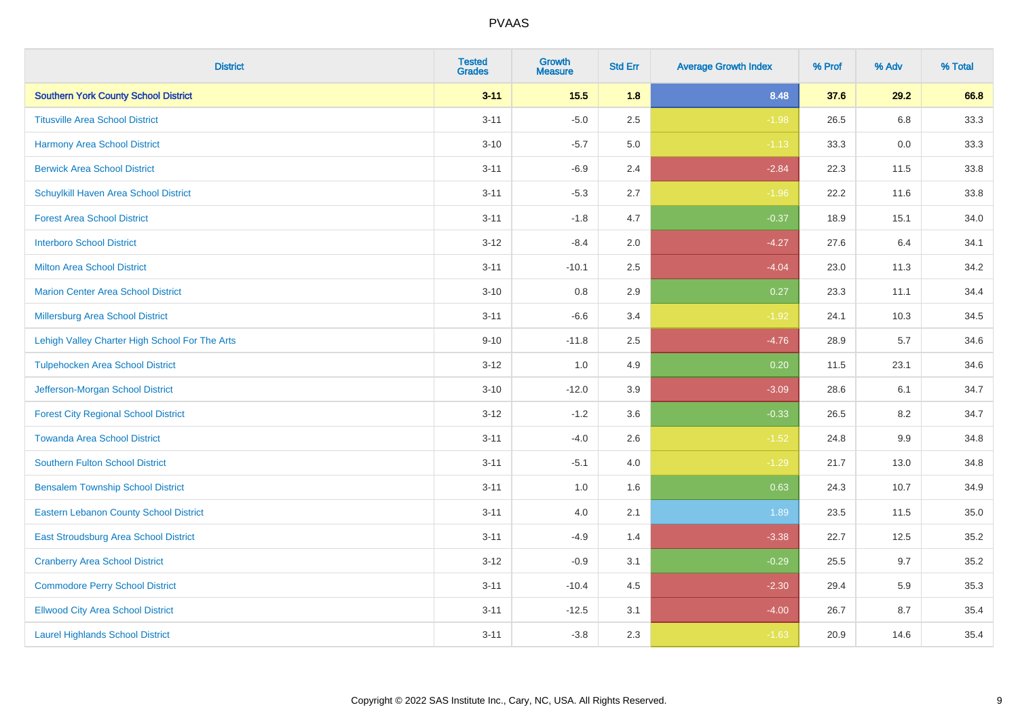| <b>District</b>                                | <b>Tested</b><br><b>Grades</b> | <b>Growth</b><br><b>Measure</b> | <b>Std Err</b> | <b>Average Growth Index</b> | % Prof | % Adv   | % Total |
|------------------------------------------------|--------------------------------|---------------------------------|----------------|-----------------------------|--------|---------|---------|
| <b>Southern York County School District</b>    | $3 - 11$                       | 15.5                            | 1.8            | 8.48                        | 37.6   | 29.2    | 66.8    |
| <b>Titusville Area School District</b>         | $3 - 11$                       | $-5.0$                          | 2.5            | $-1.98$                     | 26.5   | 6.8     | 33.3    |
| <b>Harmony Area School District</b>            | $3 - 10$                       | $-5.7$                          | 5.0            | $-1.13$                     | 33.3   | 0.0     | 33.3    |
| <b>Berwick Area School District</b>            | $3 - 11$                       | $-6.9$                          | 2.4            | $-2.84$                     | 22.3   | 11.5    | 33.8    |
| <b>Schuylkill Haven Area School District</b>   | $3 - 11$                       | $-5.3$                          | 2.7            | $-1.96$                     | 22.2   | 11.6    | 33.8    |
| <b>Forest Area School District</b>             | $3 - 11$                       | $-1.8$                          | 4.7            | $-0.37$                     | 18.9   | 15.1    | 34.0    |
| <b>Interboro School District</b>               | $3 - 12$                       | $-8.4$                          | 2.0            | $-4.27$                     | 27.6   | 6.4     | 34.1    |
| <b>Milton Area School District</b>             | $3 - 11$                       | $-10.1$                         | 2.5            | $-4.04$                     | 23.0   | 11.3    | 34.2    |
| <b>Marion Center Area School District</b>      | $3 - 10$                       | 0.8                             | 2.9            | 0.27                        | 23.3   | 11.1    | 34.4    |
| Millersburg Area School District               | $3 - 11$                       | $-6.6$                          | 3.4            | $-1.92$                     | 24.1   | 10.3    | 34.5    |
| Lehigh Valley Charter High School For The Arts | $9 - 10$                       | $-11.8$                         | 2.5            | $-4.76$                     | 28.9   | 5.7     | 34.6    |
| <b>Tulpehocken Area School District</b>        | $3 - 12$                       | 1.0                             | 4.9            | 0.20                        | 11.5   | 23.1    | 34.6    |
| Jefferson-Morgan School District               | $3 - 10$                       | $-12.0$                         | 3.9            | $-3.09$                     | 28.6   | 6.1     | 34.7    |
| <b>Forest City Regional School District</b>    | $3 - 12$                       | $-1.2$                          | 3.6            | $-0.33$                     | 26.5   | 8.2     | 34.7    |
| <b>Towanda Area School District</b>            | $3 - 11$                       | $-4.0$                          | 2.6            | $-1.52$                     | 24.8   | $9.9\,$ | 34.8    |
| Southern Fulton School District                | $3 - 11$                       | $-5.1$                          | 4.0            | $-1.29$                     | 21.7   | 13.0    | 34.8    |
| <b>Bensalem Township School District</b>       | $3 - 11$                       | 1.0                             | 1.6            | 0.63                        | 24.3   | 10.7    | 34.9    |
| <b>Eastern Lebanon County School District</b>  | $3 - 11$                       | 4.0                             | 2.1            | 1.89                        | 23.5   | 11.5    | 35.0    |
| East Stroudsburg Area School District          | $3 - 11$                       | $-4.9$                          | 1.4            | $-3.38$                     | 22.7   | 12.5    | 35.2    |
| <b>Cranberry Area School District</b>          | $3 - 12$                       | $-0.9$                          | 3.1            | $-0.29$                     | 25.5   | 9.7     | 35.2    |
| <b>Commodore Perry School District</b>         | $3 - 11$                       | $-10.4$                         | 4.5            | $-2.30$                     | 29.4   | 5.9     | 35.3    |
| <b>Ellwood City Area School District</b>       | $3 - 11$                       | $-12.5$                         | 3.1            | $-4.00$                     | 26.7   | 8.7     | 35.4    |
| <b>Laurel Highlands School District</b>        | $3 - 11$                       | $-3.8$                          | 2.3            | $-1.63$                     | 20.9   | 14.6    | 35.4    |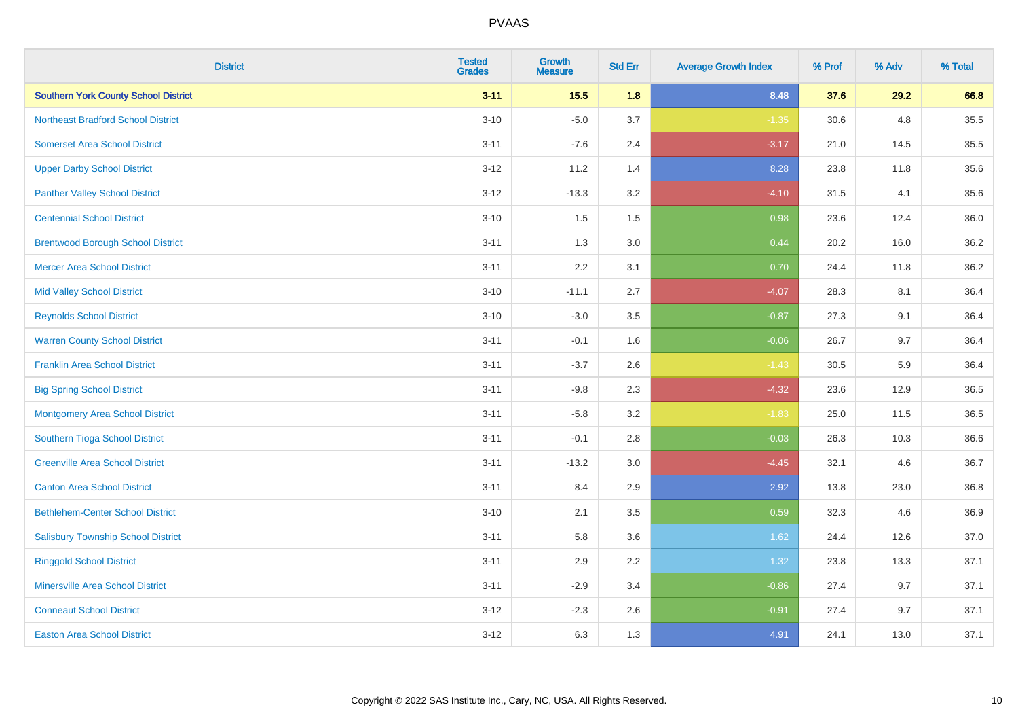| <b>District</b>                             | <b>Tested</b><br><b>Grades</b> | <b>Growth</b><br><b>Measure</b> | <b>Std Err</b> | <b>Average Growth Index</b> | % Prof | % Adv | % Total |
|---------------------------------------------|--------------------------------|---------------------------------|----------------|-----------------------------|--------|-------|---------|
| <b>Southern York County School District</b> | $3 - 11$                       | 15.5                            | 1.8            | 8.48                        | 37.6   | 29.2  | 66.8    |
| <b>Northeast Bradford School District</b>   | $3 - 10$                       | $-5.0$                          | 3.7            | $-1.35$                     | 30.6   | 4.8   | 35.5    |
| <b>Somerset Area School District</b>        | $3 - 11$                       | $-7.6$                          | 2.4            | $-3.17$                     | 21.0   | 14.5  | 35.5    |
| <b>Upper Darby School District</b>          | $3 - 12$                       | 11.2                            | 1.4            | 8.28                        | 23.8   | 11.8  | 35.6    |
| <b>Panther Valley School District</b>       | $3-12$                         | $-13.3$                         | 3.2            | $-4.10$                     | 31.5   | 4.1   | 35.6    |
| <b>Centennial School District</b>           | $3 - 10$                       | 1.5                             | 1.5            | 0.98                        | 23.6   | 12.4  | 36.0    |
| <b>Brentwood Borough School District</b>    | $3 - 11$                       | 1.3                             | 3.0            | 0.44                        | 20.2   | 16.0  | 36.2    |
| <b>Mercer Area School District</b>          | $3 - 11$                       | 2.2                             | 3.1            | 0.70                        | 24.4   | 11.8  | 36.2    |
| <b>Mid Valley School District</b>           | $3 - 10$                       | $-11.1$                         | 2.7            | $-4.07$                     | 28.3   | 8.1   | 36.4    |
| <b>Reynolds School District</b>             | $3 - 10$                       | $-3.0$                          | 3.5            | $-0.87$                     | 27.3   | 9.1   | 36.4    |
| <b>Warren County School District</b>        | $3 - 11$                       | $-0.1$                          | 1.6            | $-0.06$                     | 26.7   | 9.7   | 36.4    |
| <b>Franklin Area School District</b>        | $3 - 11$                       | $-3.7$                          | 2.6            | $-1.43$                     | 30.5   | 5.9   | 36.4    |
| <b>Big Spring School District</b>           | $3 - 11$                       | $-9.8$                          | 2.3            | $-4.32$                     | 23.6   | 12.9  | 36.5    |
| <b>Montgomery Area School District</b>      | $3 - 11$                       | $-5.8$                          | 3.2            | $-1.83$                     | 25.0   | 11.5  | 36.5    |
| Southern Tioga School District              | $3 - 11$                       | $-0.1$                          | 2.8            | $-0.03$                     | 26.3   | 10.3  | 36.6    |
| <b>Greenville Area School District</b>      | $3 - 11$                       | $-13.2$                         | 3.0            | $-4.45$                     | 32.1   | 4.6   | 36.7    |
| <b>Canton Area School District</b>          | $3 - 11$                       | 8.4                             | 2.9            | 2.92                        | 13.8   | 23.0  | 36.8    |
| <b>Bethlehem-Center School District</b>     | $3 - 10$                       | 2.1                             | 3.5            | 0.59                        | 32.3   | 4.6   | 36.9    |
| <b>Salisbury Township School District</b>   | $3 - 11$                       | 5.8                             | 3.6            | 1.62                        | 24.4   | 12.6  | 37.0    |
| <b>Ringgold School District</b>             | $3 - 11$                       | 2.9                             | 2.2            | 1.32                        | 23.8   | 13.3  | 37.1    |
| <b>Minersville Area School District</b>     | $3 - 11$                       | $-2.9$                          | 3.4            | $-0.86$                     | 27.4   | 9.7   | 37.1    |
| <b>Conneaut School District</b>             | $3-12$                         | $-2.3$                          | 2.6            | $-0.91$                     | 27.4   | 9.7   | 37.1    |
| <b>Easton Area School District</b>          | $3 - 12$                       | 6.3                             | 1.3            | 4.91                        | 24.1   | 13.0  | 37.1    |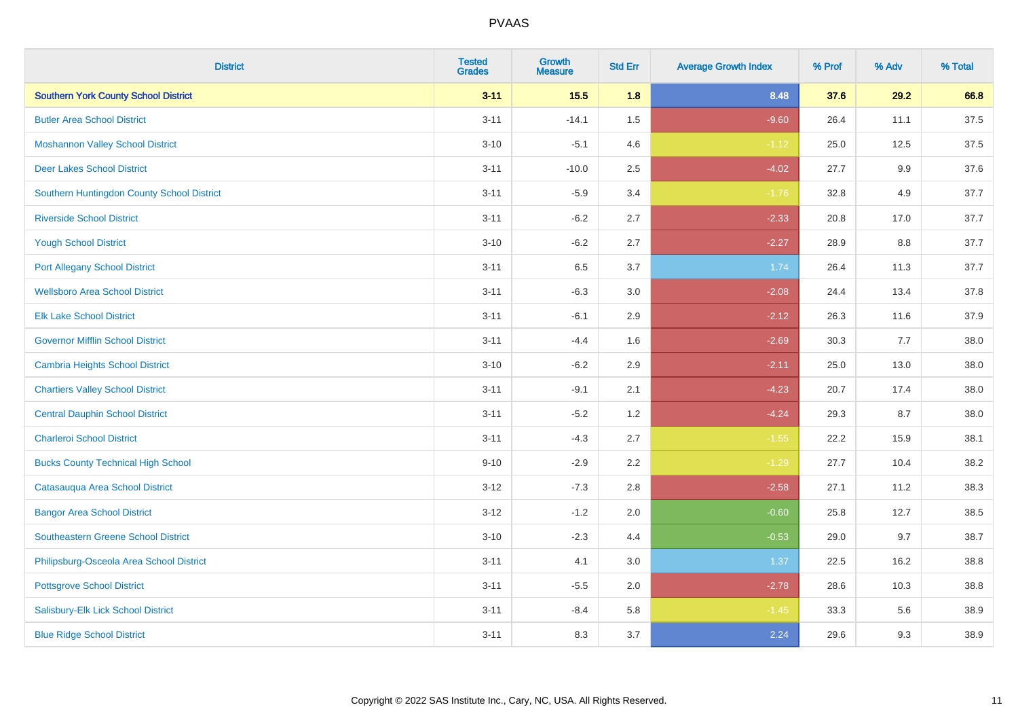| <b>District</b>                             | <b>Tested</b><br><b>Grades</b> | <b>Growth</b><br><b>Measure</b> | <b>Std Err</b> | <b>Average Growth Index</b> | % Prof | % Adv   | % Total |
|---------------------------------------------|--------------------------------|---------------------------------|----------------|-----------------------------|--------|---------|---------|
| <b>Southern York County School District</b> | $3 - 11$                       | $15.5$                          | 1.8            | 8.48                        | 37.6   | 29.2    | 66.8    |
| <b>Butler Area School District</b>          | $3 - 11$                       | $-14.1$                         | $1.5$          | $-9.60$                     | 26.4   | 11.1    | 37.5    |
| <b>Moshannon Valley School District</b>     | $3 - 10$                       | $-5.1$                          | 4.6            | $-1.12$                     | 25.0   | 12.5    | 37.5    |
| <b>Deer Lakes School District</b>           | $3 - 11$                       | $-10.0$                         | 2.5            | $-4.02$                     | 27.7   | $9.9\,$ | 37.6    |
| Southern Huntingdon County School District  | $3 - 11$                       | $-5.9$                          | 3.4            | $-1.76$                     | 32.8   | 4.9     | 37.7    |
| <b>Riverside School District</b>            | $3 - 11$                       | $-6.2$                          | 2.7            | $-2.33$                     | 20.8   | 17.0    | 37.7    |
| <b>Yough School District</b>                | $3 - 10$                       | $-6.2$                          | 2.7            | $-2.27$                     | 28.9   | 8.8     | 37.7    |
| <b>Port Allegany School District</b>        | $3 - 11$                       | 6.5                             | 3.7            | 1.74                        | 26.4   | 11.3    | 37.7    |
| <b>Wellsboro Area School District</b>       | $3 - 11$                       | $-6.3$                          | 3.0            | $-2.08$                     | 24.4   | 13.4    | 37.8    |
| <b>Elk Lake School District</b>             | $3 - 11$                       | $-6.1$                          | 2.9            | $-2.12$                     | 26.3   | 11.6    | 37.9    |
| <b>Governor Mifflin School District</b>     | $3 - 11$                       | $-4.4$                          | 1.6            | $-2.69$                     | 30.3   | 7.7     | 38.0    |
| <b>Cambria Heights School District</b>      | $3 - 10$                       | $-6.2$                          | 2.9            | $-2.11$                     | 25.0   | 13.0    | 38.0    |
| <b>Chartiers Valley School District</b>     | $3 - 11$                       | $-9.1$                          | 2.1            | $-4.23$                     | 20.7   | 17.4    | 38.0    |
| <b>Central Dauphin School District</b>      | $3 - 11$                       | $-5.2$                          | 1.2            | $-4.24$                     | 29.3   | 8.7     | 38.0    |
| <b>Charleroi School District</b>            | $3 - 11$                       | $-4.3$                          | 2.7            | $-1.55$                     | 22.2   | 15.9    | 38.1    |
| <b>Bucks County Technical High School</b>   | $9 - 10$                       | $-2.9$                          | 2.2            | $-1.29$                     | 27.7   | 10.4    | 38.2    |
| Catasauqua Area School District             | $3 - 12$                       | $-7.3$                          | 2.8            | $-2.58$                     | 27.1   | 11.2    | 38.3    |
| <b>Bangor Area School District</b>          | $3 - 12$                       | $-1.2$                          | 2.0            | $-0.60$                     | 25.8   | 12.7    | 38.5    |
| <b>Southeastern Greene School District</b>  | $3 - 10$                       | $-2.3$                          | 4.4            | $-0.53$                     | 29.0   | 9.7     | 38.7    |
| Philipsburg-Osceola Area School District    | $3 - 11$                       | 4.1                             | 3.0            | 1.37                        | 22.5   | 16.2    | 38.8    |
| <b>Pottsgrove School District</b>           | $3 - 11$                       | $-5.5$                          | 2.0            | $-2.78$                     | 28.6   | 10.3    | 38.8    |
| Salisbury-Elk Lick School District          | $3 - 11$                       | $-8.4$                          | 5.8            | $-1.45$                     | 33.3   | 5.6     | 38.9    |
| <b>Blue Ridge School District</b>           | $3 - 11$                       | 8.3                             | 3.7            | 2.24                        | 29.6   | 9.3     | 38.9    |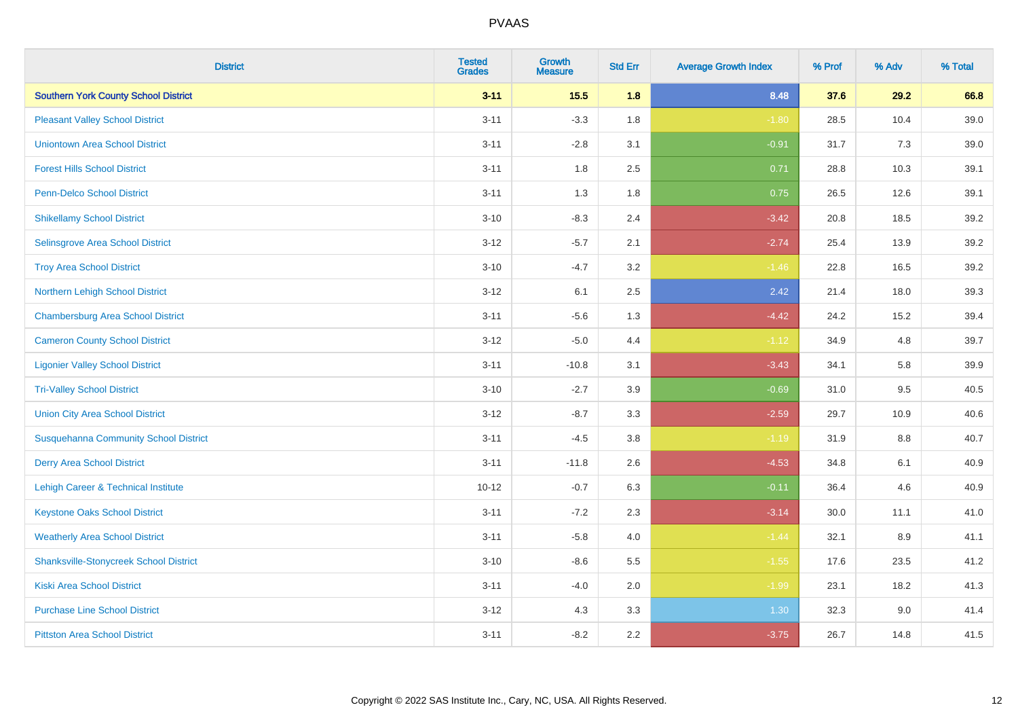| <b>District</b>                               | <b>Tested</b><br><b>Grades</b> | <b>Growth</b><br><b>Measure</b> | <b>Std Err</b> | <b>Average Growth Index</b> | % Prof | % Adv | % Total |
|-----------------------------------------------|--------------------------------|---------------------------------|----------------|-----------------------------|--------|-------|---------|
| <b>Southern York County School District</b>   | $3 - 11$                       | 15.5                            | 1.8            | 8.48                        | 37.6   | 29.2  | 66.8    |
| <b>Pleasant Valley School District</b>        | $3 - 11$                       | $-3.3$                          | 1.8            | $-1.80$                     | 28.5   | 10.4  | 39.0    |
| <b>Uniontown Area School District</b>         | $3 - 11$                       | $-2.8$                          | 3.1            | $-0.91$                     | 31.7   | 7.3   | 39.0    |
| <b>Forest Hills School District</b>           | $3 - 11$                       | 1.8                             | 2.5            | 0.71                        | 28.8   | 10.3  | 39.1    |
| <b>Penn-Delco School District</b>             | $3 - 11$                       | 1.3                             | 1.8            | 0.75                        | 26.5   | 12.6  | 39.1    |
| <b>Shikellamy School District</b>             | $3 - 10$                       | $-8.3$                          | 2.4            | $-3.42$                     | 20.8   | 18.5  | 39.2    |
| Selinsgrove Area School District              | $3 - 12$                       | $-5.7$                          | 2.1            | $-2.74$                     | 25.4   | 13.9  | 39.2    |
| <b>Troy Area School District</b>              | $3 - 10$                       | $-4.7$                          | 3.2            | $-1.46$                     | 22.8   | 16.5  | 39.2    |
| Northern Lehigh School District               | $3 - 12$                       | 6.1                             | 2.5            | 2.42                        | 21.4   | 18.0  | 39.3    |
| <b>Chambersburg Area School District</b>      | $3 - 11$                       | $-5.6$                          | 1.3            | $-4.42$                     | 24.2   | 15.2  | 39.4    |
| <b>Cameron County School District</b>         | $3-12$                         | $-5.0$                          | 4.4            | $-1.12$                     | 34.9   | 4.8   | 39.7    |
| <b>Ligonier Valley School District</b>        | $3 - 11$                       | $-10.8$                         | 3.1            | $-3.43$                     | 34.1   | 5.8   | 39.9    |
| <b>Tri-Valley School District</b>             | $3 - 10$                       | $-2.7$                          | 3.9            | $-0.69$                     | 31.0   | 9.5   | 40.5    |
| <b>Union City Area School District</b>        | $3-12$                         | $-8.7$                          | 3.3            | $-2.59$                     | 29.7   | 10.9  | 40.6    |
| <b>Susquehanna Community School District</b>  | $3 - 11$                       | $-4.5$                          | 3.8            | $-1.19$                     | 31.9   | 8.8   | 40.7    |
| <b>Derry Area School District</b>             | $3 - 11$                       | $-11.8$                         | 2.6            | $-4.53$                     | 34.8   | 6.1   | 40.9    |
| Lehigh Career & Technical Institute           | $10 - 12$                      | $-0.7$                          | 6.3            | $-0.11$                     | 36.4   | 4.6   | 40.9    |
| <b>Keystone Oaks School District</b>          | $3 - 11$                       | $-7.2$                          | 2.3            | $-3.14$                     | 30.0   | 11.1  | 41.0    |
| <b>Weatherly Area School District</b>         | $3 - 11$                       | $-5.8$                          | 4.0            | $-1.44$                     | 32.1   | 8.9   | 41.1    |
| <b>Shanksville-Stonycreek School District</b> | $3 - 10$                       | $-8.6$                          | 5.5            | $-1.55$                     | 17.6   | 23.5  | 41.2    |
| <b>Kiski Area School District</b>             | $3 - 11$                       | $-4.0$                          | 2.0            | $-1.99$                     | 23.1   | 18.2  | 41.3    |
| <b>Purchase Line School District</b>          | $3 - 12$                       | 4.3                             | 3.3            | 1.30                        | 32.3   | 9.0   | 41.4    |
| <b>Pittston Area School District</b>          | $3 - 11$                       | $-8.2$                          | 2.2            | $-3.75$                     | 26.7   | 14.8  | 41.5    |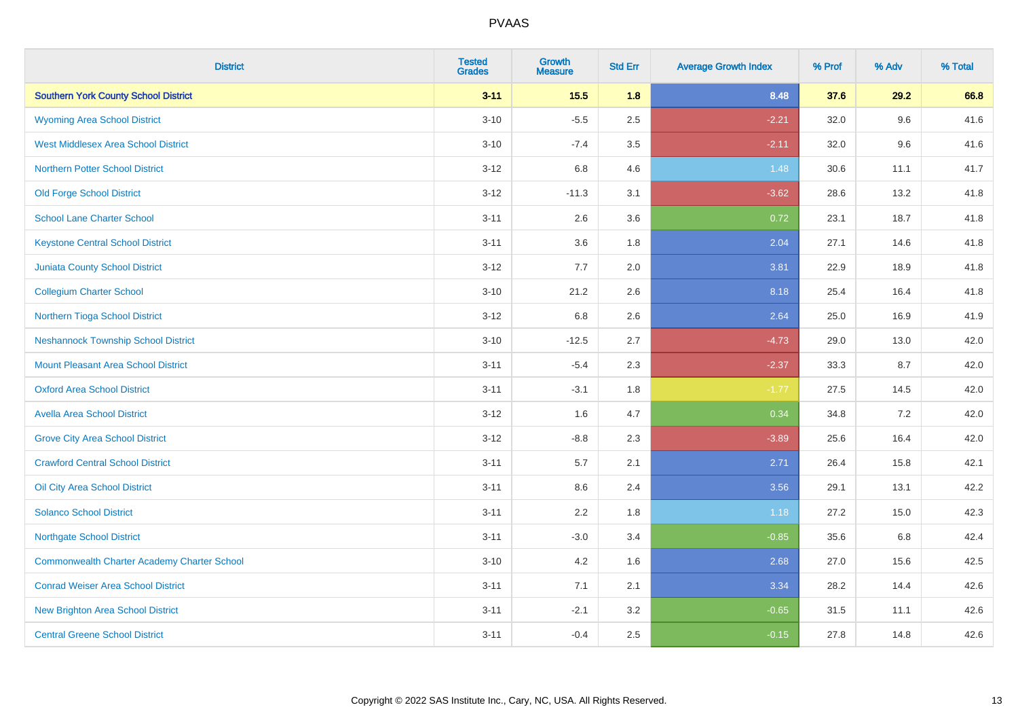| <b>District</b>                                    | <b>Tested</b><br><b>Grades</b> | <b>Growth</b><br><b>Measure</b> | <b>Std Err</b> | <b>Average Growth Index</b> | % Prof | % Adv | % Total |
|----------------------------------------------------|--------------------------------|---------------------------------|----------------|-----------------------------|--------|-------|---------|
| <b>Southern York County School District</b>        | $3 - 11$                       | 15.5                            | 1.8            | 8.48                        | 37.6   | 29.2  | 66.8    |
| <b>Wyoming Area School District</b>                | $3 - 10$                       | $-5.5$                          | 2.5            | $-2.21$                     | 32.0   | 9.6   | 41.6    |
| <b>West Middlesex Area School District</b>         | $3 - 10$                       | $-7.4$                          | 3.5            | $-2.11$                     | 32.0   | 9.6   | 41.6    |
| <b>Northern Potter School District</b>             | $3-12$                         | 6.8                             | 4.6            | 1.48                        | 30.6   | 11.1  | 41.7    |
| <b>Old Forge School District</b>                   | $3 - 12$                       | $-11.3$                         | 3.1            | $-3.62$                     | 28.6   | 13.2  | 41.8    |
| <b>School Lane Charter School</b>                  | $3 - 11$                       | 2.6                             | 3.6            | 0.72                        | 23.1   | 18.7  | 41.8    |
| <b>Keystone Central School District</b>            | $3 - 11$                       | 3.6                             | 1.8            | 2.04                        | 27.1   | 14.6  | 41.8    |
| <b>Juniata County School District</b>              | $3 - 12$                       | 7.7                             | 2.0            | 3.81                        | 22.9   | 18.9  | 41.8    |
| <b>Collegium Charter School</b>                    | $3 - 10$                       | 21.2                            | 2.6            | 8.18                        | 25.4   | 16.4  | 41.8    |
| Northern Tioga School District                     | $3 - 12$                       | 6.8                             | 2.6            | 2.64                        | 25.0   | 16.9  | 41.9    |
| <b>Neshannock Township School District</b>         | $3 - 10$                       | $-12.5$                         | 2.7            | $-4.73$                     | 29.0   | 13.0  | 42.0    |
| Mount Pleasant Area School District                | $3 - 11$                       | $-5.4$                          | 2.3            | $-2.37$                     | 33.3   | 8.7   | 42.0    |
| <b>Oxford Area School District</b>                 | $3 - 11$                       | $-3.1$                          | 1.8            | $-1.77$                     | 27.5   | 14.5  | 42.0    |
| <b>Avella Area School District</b>                 | $3 - 12$                       | 1.6                             | 4.7            | 0.34                        | 34.8   | 7.2   | 42.0    |
| <b>Grove City Area School District</b>             | $3 - 12$                       | $-8.8$                          | 2.3            | $-3.89$                     | 25.6   | 16.4  | 42.0    |
| <b>Crawford Central School District</b>            | $3 - 11$                       | 5.7                             | 2.1            | 2.71                        | 26.4   | 15.8  | 42.1    |
| Oil City Area School District                      | $3 - 11$                       | 8.6                             | 2.4            | 3.56                        | 29.1   | 13.1  | 42.2    |
| <b>Solanco School District</b>                     | $3 - 11$                       | 2.2                             | 1.8            | 1.18                        | 27.2   | 15.0  | 42.3    |
| <b>Northgate School District</b>                   | $3 - 11$                       | $-3.0$                          | 3.4            | $-0.85$                     | 35.6   | 6.8   | 42.4    |
| <b>Commonwealth Charter Academy Charter School</b> | $3 - 10$                       | 4.2                             | 1.6            | 2.68                        | 27.0   | 15.6  | 42.5    |
| <b>Conrad Weiser Area School District</b>          | $3 - 11$                       | 7.1                             | 2.1            | 3.34                        | 28.2   | 14.4  | 42.6    |
| <b>New Brighton Area School District</b>           | $3 - 11$                       | $-2.1$                          | 3.2            | $-0.65$                     | 31.5   | 11.1  | 42.6    |
| <b>Central Greene School District</b>              | $3 - 11$                       | $-0.4$                          | 2.5            | $-0.15$                     | 27.8   | 14.8  | 42.6    |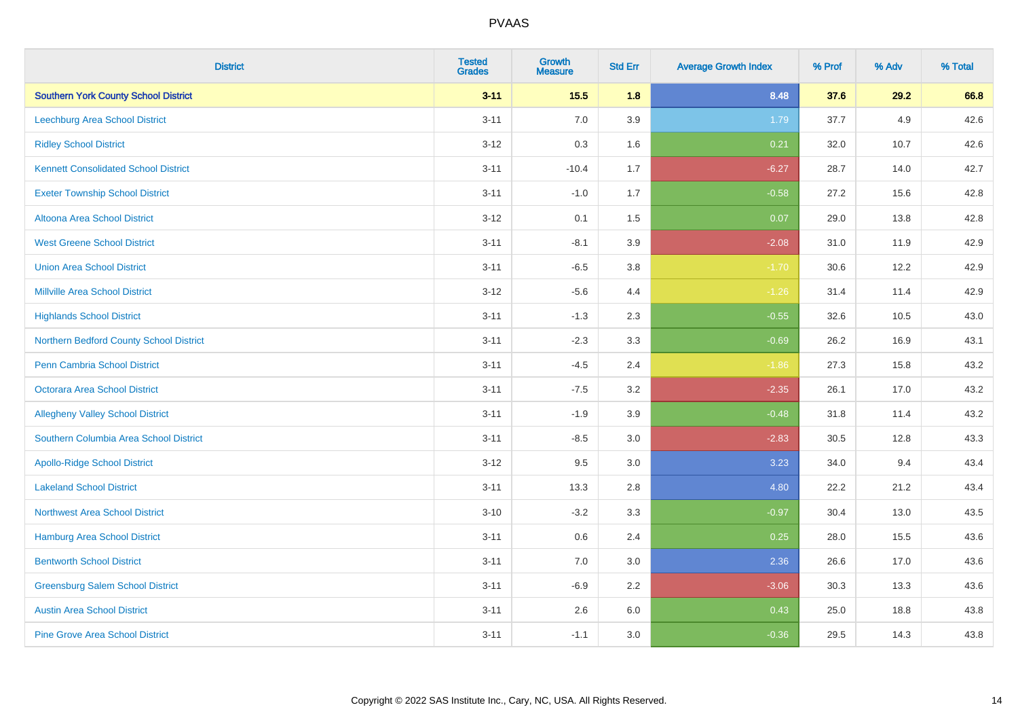| <b>District</b>                             | <b>Tested</b><br><b>Grades</b> | <b>Growth</b><br><b>Measure</b> | <b>Std Err</b> | <b>Average Growth Index</b> | % Prof | % Adv | % Total |
|---------------------------------------------|--------------------------------|---------------------------------|----------------|-----------------------------|--------|-------|---------|
| <b>Southern York County School District</b> | $3 - 11$                       | 15.5                            | 1.8            | 8.48                        | 37.6   | 29.2  | 66.8    |
| <b>Leechburg Area School District</b>       | $3 - 11$                       | $7.0\,$                         | 3.9            | 1.79                        | 37.7   | 4.9   | 42.6    |
| <b>Ridley School District</b>               | $3 - 12$                       | 0.3                             | 1.6            | 0.21                        | 32.0   | 10.7  | 42.6    |
| <b>Kennett Consolidated School District</b> | $3 - 11$                       | $-10.4$                         | 1.7            | $-6.27$                     | 28.7   | 14.0  | 42.7    |
| <b>Exeter Township School District</b>      | $3 - 11$                       | $-1.0$                          | 1.7            | $-0.58$                     | 27.2   | 15.6  | 42.8    |
| Altoona Area School District                | $3 - 12$                       | 0.1                             | 1.5            | 0.07                        | 29.0   | 13.8  | 42.8    |
| <b>West Greene School District</b>          | $3 - 11$                       | $-8.1$                          | 3.9            | $-2.08$                     | 31.0   | 11.9  | 42.9    |
| <b>Union Area School District</b>           | $3 - 11$                       | $-6.5$                          | 3.8            | $-1.70$                     | 30.6   | 12.2  | 42.9    |
| <b>Millville Area School District</b>       | $3 - 12$                       | $-5.6$                          | 4.4            | $-1.26$                     | 31.4   | 11.4  | 42.9    |
| <b>Highlands School District</b>            | $3 - 11$                       | $-1.3$                          | 2.3            | $-0.55$                     | 32.6   | 10.5  | 43.0    |
| Northern Bedford County School District     | $3 - 11$                       | $-2.3$                          | 3.3            | $-0.69$                     | 26.2   | 16.9  | 43.1    |
| <b>Penn Cambria School District</b>         | $3 - 11$                       | $-4.5$                          | 2.4            | $-1.86$                     | 27.3   | 15.8  | 43.2    |
| Octorara Area School District               | $3 - 11$                       | $-7.5$                          | 3.2            | $-2.35$                     | 26.1   | 17.0  | 43.2    |
| <b>Allegheny Valley School District</b>     | $3 - 11$                       | $-1.9$                          | 3.9            | $-0.48$                     | 31.8   | 11.4  | 43.2    |
| Southern Columbia Area School District      | $3 - 11$                       | $-8.5$                          | 3.0            | $-2.83$                     | 30.5   | 12.8  | 43.3    |
| <b>Apollo-Ridge School District</b>         | $3 - 12$                       | 9.5                             | 3.0            | 3.23                        | 34.0   | 9.4   | 43.4    |
| <b>Lakeland School District</b>             | $3 - 11$                       | 13.3                            | 2.8            | 4.80                        | 22.2   | 21.2  | 43.4    |
| <b>Northwest Area School District</b>       | $3 - 10$                       | $-3.2$                          | 3.3            | $-0.97$                     | 30.4   | 13.0  | 43.5    |
| <b>Hamburg Area School District</b>         | $3 - 11$                       | $0.6\,$                         | 2.4            | 0.25                        | 28.0   | 15.5  | 43.6    |
| <b>Bentworth School District</b>            | $3 - 11$                       | 7.0                             | 3.0            | 2.36                        | 26.6   | 17.0  | 43.6    |
| <b>Greensburg Salem School District</b>     | $3 - 11$                       | $-6.9$                          | 2.2            | $-3.06$                     | 30.3   | 13.3  | 43.6    |
| <b>Austin Area School District</b>          | $3 - 11$                       | 2.6                             | 6.0            | 0.43                        | 25.0   | 18.8  | 43.8    |
| <b>Pine Grove Area School District</b>      | $3 - 11$                       | $-1.1$                          | 3.0            | $-0.36$                     | 29.5   | 14.3  | 43.8    |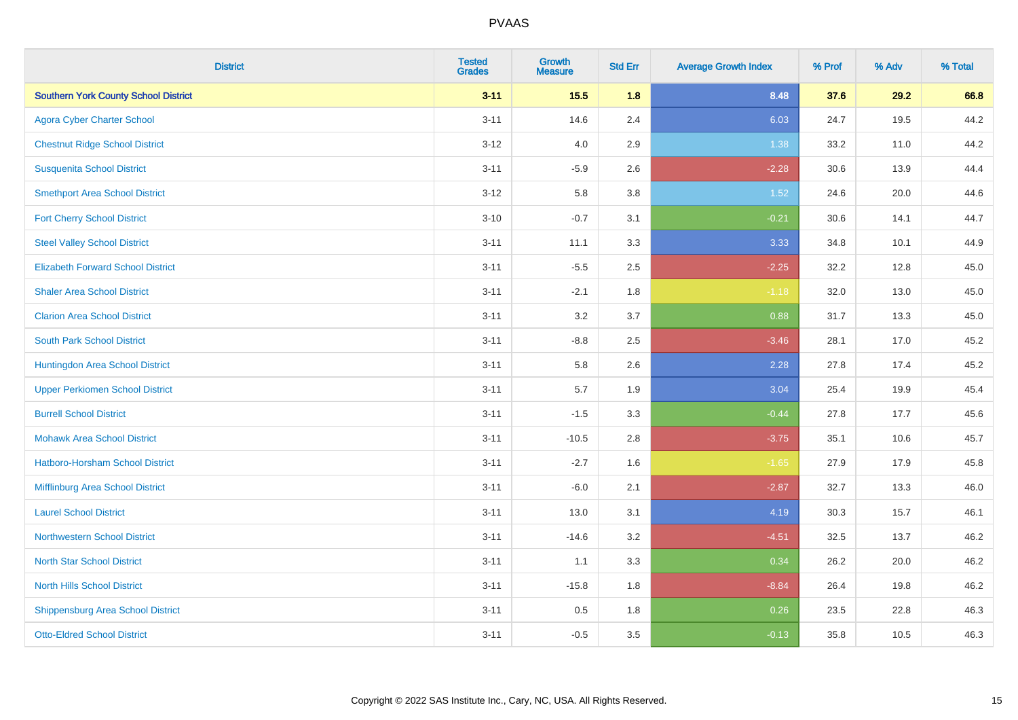| <b>District</b>                             | <b>Tested</b><br><b>Grades</b> | <b>Growth</b><br><b>Measure</b> | <b>Std Err</b> | <b>Average Growth Index</b> | % Prof | % Adv | % Total |
|---------------------------------------------|--------------------------------|---------------------------------|----------------|-----------------------------|--------|-------|---------|
| <b>Southern York County School District</b> | $3 - 11$                       | 15.5                            | 1.8            | 8.48                        | 37.6   | 29.2  | 66.8    |
| <b>Agora Cyber Charter School</b>           | $3 - 11$                       | 14.6                            | 2.4            | 6.03                        | 24.7   | 19.5  | 44.2    |
| <b>Chestnut Ridge School District</b>       | $3 - 12$                       | 4.0                             | 2.9            | 1.38                        | 33.2   | 11.0  | 44.2    |
| <b>Susquenita School District</b>           | $3 - 11$                       | $-5.9$                          | 2.6            | $-2.28$                     | 30.6   | 13.9  | 44.4    |
| <b>Smethport Area School District</b>       | $3 - 12$                       | 5.8                             | 3.8            | 1.52                        | 24.6   | 20.0  | 44.6    |
| <b>Fort Cherry School District</b>          | $3 - 10$                       | $-0.7$                          | 3.1            | $-0.21$                     | 30.6   | 14.1  | 44.7    |
| <b>Steel Valley School District</b>         | $3 - 11$                       | 11.1                            | 3.3            | 3.33                        | 34.8   | 10.1  | 44.9    |
| <b>Elizabeth Forward School District</b>    | $3 - 11$                       | $-5.5$                          | 2.5            | $-2.25$                     | 32.2   | 12.8  | 45.0    |
| <b>Shaler Area School District</b>          | $3 - 11$                       | $-2.1$                          | 1.8            | $-1.18$                     | 32.0   | 13.0  | 45.0    |
| <b>Clarion Area School District</b>         | $3 - 11$                       | 3.2                             | 3.7            | 0.88                        | 31.7   | 13.3  | 45.0    |
| <b>South Park School District</b>           | $3 - 11$                       | $-8.8$                          | 2.5            | $-3.46$                     | 28.1   | 17.0  | 45.2    |
| Huntingdon Area School District             | $3 - 11$                       | 5.8                             | 2.6            | 2.28                        | 27.8   | 17.4  | 45.2    |
| <b>Upper Perkiomen School District</b>      | $3 - 11$                       | 5.7                             | 1.9            | 3.04                        | 25.4   | 19.9  | 45.4    |
| <b>Burrell School District</b>              | $3 - 11$                       | $-1.5$                          | 3.3            | $-0.44$                     | 27.8   | 17.7  | 45.6    |
| <b>Mohawk Area School District</b>          | $3 - 11$                       | $-10.5$                         | 2.8            | $-3.75$                     | 35.1   | 10.6  | 45.7    |
| <b>Hatboro-Horsham School District</b>      | $3 - 11$                       | $-2.7$                          | 1.6            | $-1.65$                     | 27.9   | 17.9  | 45.8    |
| Mifflinburg Area School District            | $3 - 11$                       | $-6.0$                          | 2.1            | $-2.87$                     | 32.7   | 13.3  | 46.0    |
| <b>Laurel School District</b>               | $3 - 11$                       | 13.0                            | 3.1            | 4.19                        | 30.3   | 15.7  | 46.1    |
| Northwestern School District                | $3 - 11$                       | $-14.6$                         | 3.2            | $-4.51$                     | 32.5   | 13.7  | 46.2    |
| <b>North Star School District</b>           | $3 - 11$                       | 1.1                             | 3.3            | 0.34                        | 26.2   | 20.0  | 46.2    |
| <b>North Hills School District</b>          | $3 - 11$                       | $-15.8$                         | 1.8            | $-8.84$                     | 26.4   | 19.8  | 46.2    |
| <b>Shippensburg Area School District</b>    | $3 - 11$                       | 0.5                             | 1.8            | 0.26                        | 23.5   | 22.8  | 46.3    |
| <b>Otto-Eldred School District</b>          | $3 - 11$                       | $-0.5$                          | 3.5            | $-0.13$                     | 35.8   | 10.5  | 46.3    |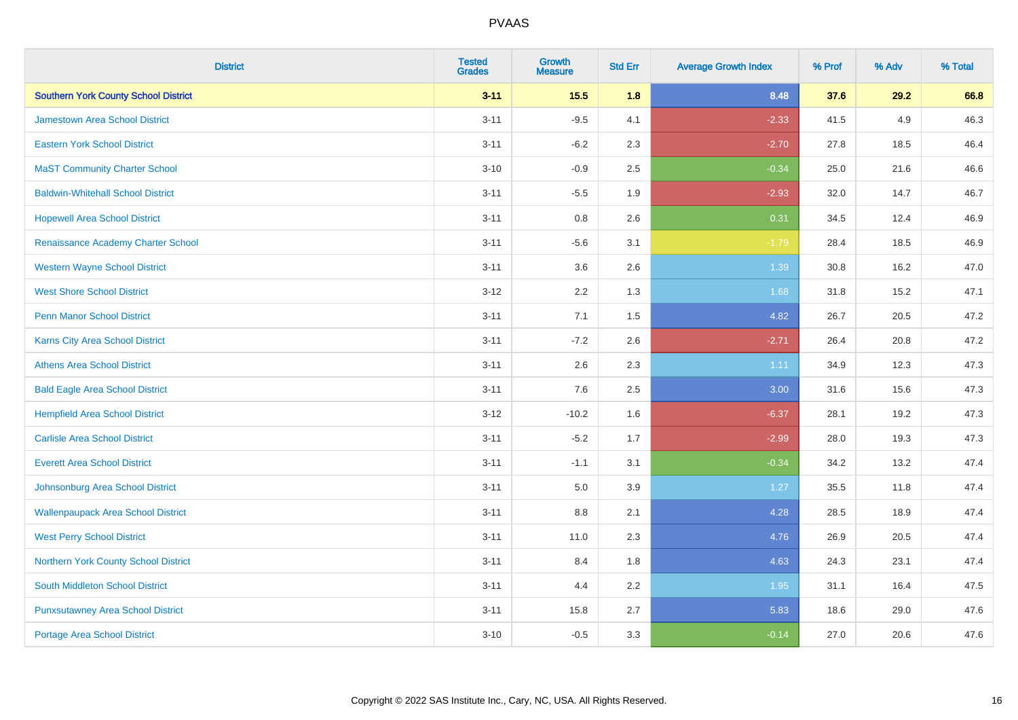| <b>District</b>                             | <b>Tested</b><br><b>Grades</b> | <b>Growth</b><br><b>Measure</b> | <b>Std Err</b> | <b>Average Growth Index</b> | % Prof | % Adv | % Total |
|---------------------------------------------|--------------------------------|---------------------------------|----------------|-----------------------------|--------|-------|---------|
| <b>Southern York County School District</b> | $3 - 11$                       | 15.5                            | 1.8            | 8.48                        | 37.6   | 29.2  | 66.8    |
| <b>Jamestown Area School District</b>       | $3 - 11$                       | $-9.5$                          | 4.1            | $-2.33$                     | 41.5   | 4.9   | 46.3    |
| <b>Eastern York School District</b>         | $3 - 11$                       | $-6.2$                          | 2.3            | $-2.70$                     | 27.8   | 18.5  | 46.4    |
| <b>MaST Community Charter School</b>        | $3 - 10$                       | $-0.9$                          | 2.5            | $-0.34$                     | 25.0   | 21.6  | 46.6    |
| <b>Baldwin-Whitehall School District</b>    | $3 - 11$                       | $-5.5$                          | 1.9            | $-2.93$                     | 32.0   | 14.7  | 46.7    |
| <b>Hopewell Area School District</b>        | $3 - 11$                       | 0.8                             | 2.6            | 0.31                        | 34.5   | 12.4  | 46.9    |
| Renaissance Academy Charter School          | $3 - 11$                       | $-5.6$                          | 3.1            | $-1.79$                     | 28.4   | 18.5  | 46.9    |
| <b>Western Wayne School District</b>        | $3 - 11$                       | 3.6                             | 2.6            | 1.39                        | 30.8   | 16.2  | 47.0    |
| <b>West Shore School District</b>           | $3 - 12$                       | 2.2                             | 1.3            | 1.68                        | 31.8   | 15.2  | 47.1    |
| <b>Penn Manor School District</b>           | $3 - 11$                       | 7.1                             | 1.5            | 4.82                        | 26.7   | 20.5  | 47.2    |
| Karns City Area School District             | $3 - 11$                       | $-7.2$                          | 2.6            | $-2.71$                     | 26.4   | 20.8  | 47.2    |
| <b>Athens Area School District</b>          | $3 - 11$                       | 2.6                             | 2.3            | 1.11                        | 34.9   | 12.3  | 47.3    |
| <b>Bald Eagle Area School District</b>      | $3 - 11$                       | 7.6                             | 2.5            | 3.00                        | 31.6   | 15.6  | 47.3    |
| <b>Hempfield Area School District</b>       | $3 - 12$                       | $-10.2$                         | 1.6            | $-6.37$                     | 28.1   | 19.2  | 47.3    |
| <b>Carlisle Area School District</b>        | $3 - 11$                       | $-5.2$                          | 1.7            | $-2.99$                     | 28.0   | 19.3  | 47.3    |
| <b>Everett Area School District</b>         | $3 - 11$                       | $-1.1$                          | 3.1            | $-0.34$                     | 34.2   | 13.2  | 47.4    |
| Johnsonburg Area School District            | $3 - 11$                       | 5.0                             | 3.9            | 1.27                        | 35.5   | 11.8  | 47.4    |
| <b>Wallenpaupack Area School District</b>   | $3 - 11$                       | 8.8                             | 2.1            | 4.28                        | 28.5   | 18.9  | 47.4    |
| <b>West Perry School District</b>           | $3 - 11$                       | 11.0                            | 2.3            | 4.76                        | 26.9   | 20.5  | 47.4    |
| Northern York County School District        | $3 - 11$                       | 8.4                             | 1.8            | 4.63                        | 24.3   | 23.1  | 47.4    |
| South Middleton School District             | $3 - 11$                       | 4.4                             | 2.2            | 1.95                        | 31.1   | 16.4  | 47.5    |
| <b>Punxsutawney Area School District</b>    | $3 - 11$                       | 15.8                            | 2.7            | 5.83                        | 18.6   | 29.0  | 47.6    |
| Portage Area School District                | $3 - 10$                       | $-0.5$                          | 3.3            | $-0.14$                     | 27.0   | 20.6  | 47.6    |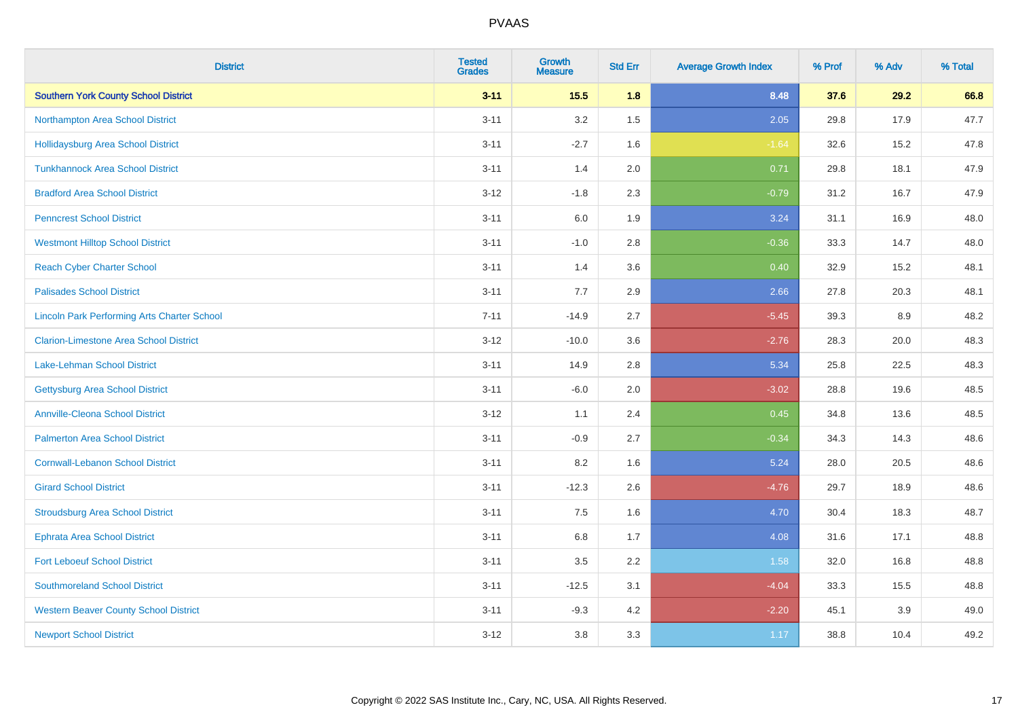| <b>District</b>                                    | <b>Tested</b><br><b>Grades</b> | <b>Growth</b><br><b>Measure</b> | <b>Std Err</b> | <b>Average Growth Index</b> | % Prof | % Adv | % Total |
|----------------------------------------------------|--------------------------------|---------------------------------|----------------|-----------------------------|--------|-------|---------|
| <b>Southern York County School District</b>        | $3 - 11$                       | 15.5                            | 1.8            | 8.48                        | 37.6   | 29.2  | 66.8    |
| Northampton Area School District                   | $3 - 11$                       | 3.2                             | 1.5            | 2.05                        | 29.8   | 17.9  | 47.7    |
| <b>Hollidaysburg Area School District</b>          | $3 - 11$                       | $-2.7$                          | 1.6            | $-1.64$                     | 32.6   | 15.2  | 47.8    |
| <b>Tunkhannock Area School District</b>            | $3 - 11$                       | 1.4                             | 2.0            | 0.71                        | 29.8   | 18.1  | 47.9    |
| <b>Bradford Area School District</b>               | $3 - 12$                       | $-1.8$                          | 2.3            | $-0.79$                     | 31.2   | 16.7  | 47.9    |
| <b>Penncrest School District</b>                   | $3 - 11$                       | 6.0                             | 1.9            | 3.24                        | 31.1   | 16.9  | 48.0    |
| <b>Westmont Hilltop School District</b>            | $3 - 11$                       | $-1.0$                          | 2.8            | $-0.36$                     | 33.3   | 14.7  | 48.0    |
| <b>Reach Cyber Charter School</b>                  | $3 - 11$                       | 1.4                             | 3.6            | 0.40                        | 32.9   | 15.2  | 48.1    |
| <b>Palisades School District</b>                   | $3 - 11$                       | 7.7                             | 2.9            | 2.66                        | 27.8   | 20.3  | 48.1    |
| <b>Lincoln Park Performing Arts Charter School</b> | $7 - 11$                       | $-14.9$                         | 2.7            | $-5.45$                     | 39.3   | 8.9   | 48.2    |
| <b>Clarion-Limestone Area School District</b>      | $3 - 12$                       | $-10.0$                         | 3.6            | $-2.76$                     | 28.3   | 20.0  | 48.3    |
| <b>Lake-Lehman School District</b>                 | $3 - 11$                       | 14.9                            | 2.8            | 5.34                        | 25.8   | 22.5  | 48.3    |
| <b>Gettysburg Area School District</b>             | $3 - 11$                       | $-6.0$                          | 2.0            | $-3.02$                     | 28.8   | 19.6  | 48.5    |
| <b>Annville-Cleona School District</b>             | $3 - 12$                       | 1.1                             | 2.4            | 0.45                        | 34.8   | 13.6  | 48.5    |
| <b>Palmerton Area School District</b>              | $3 - 11$                       | $-0.9$                          | 2.7            | $-0.34$                     | 34.3   | 14.3  | 48.6    |
| <b>Cornwall-Lebanon School District</b>            | $3 - 11$                       | 8.2                             | 1.6            | 5.24                        | 28.0   | 20.5  | 48.6    |
| <b>Girard School District</b>                      | $3 - 11$                       | $-12.3$                         | 2.6            | $-4.76$                     | 29.7   | 18.9  | 48.6    |
| <b>Stroudsburg Area School District</b>            | $3 - 11$                       | 7.5                             | 1.6            | 4.70                        | 30.4   | 18.3  | 48.7    |
| <b>Ephrata Area School District</b>                | $3 - 11$                       | $6.8\,$                         | 1.7            | 4.08                        | 31.6   | 17.1  | 48.8    |
| <b>Fort Leboeuf School District</b>                | $3 - 11$                       | 3.5                             | 2.2            | 1.58                        | 32.0   | 16.8  | 48.8    |
| <b>Southmoreland School District</b>               | $3 - 11$                       | $-12.5$                         | 3.1            | $-4.04$                     | 33.3   | 15.5  | 48.8    |
| <b>Western Beaver County School District</b>       | $3 - 11$                       | $-9.3$                          | 4.2            | $-2.20$                     | 45.1   | 3.9   | 49.0    |
| <b>Newport School District</b>                     | $3 - 12$                       | 3.8                             | 3.3            | 1.17                        | 38.8   | 10.4  | 49.2    |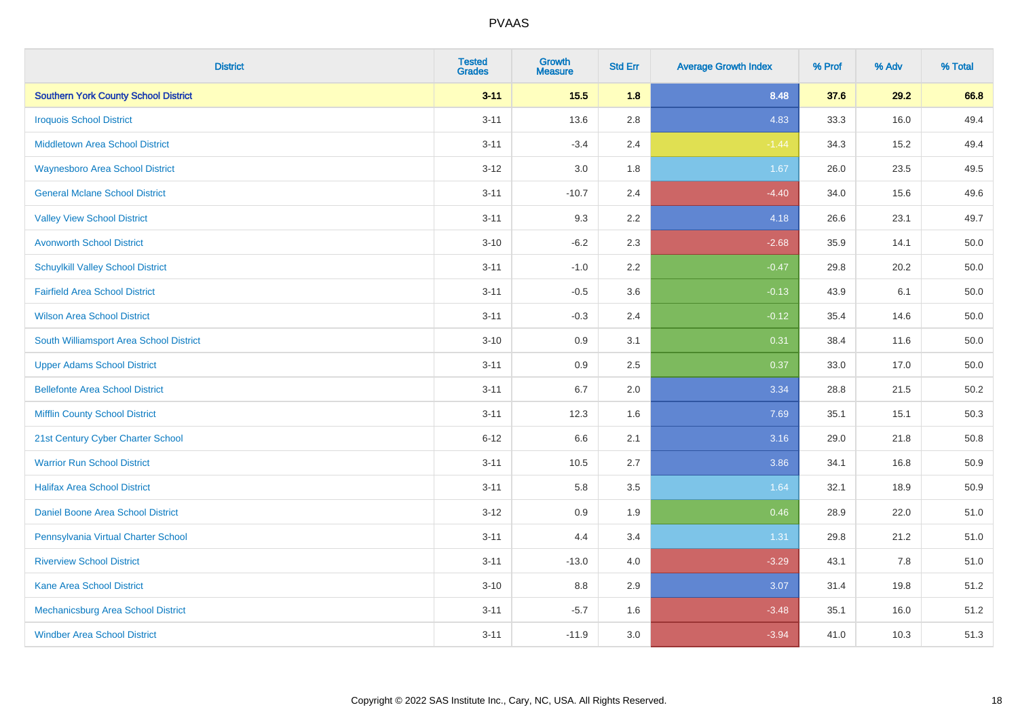| <b>District</b>                             | <b>Tested</b><br><b>Grades</b> | <b>Growth</b><br><b>Measure</b> | <b>Std Err</b> | <b>Average Growth Index</b> | % Prof | % Adv | % Total |
|---------------------------------------------|--------------------------------|---------------------------------|----------------|-----------------------------|--------|-------|---------|
| <b>Southern York County School District</b> | $3 - 11$                       | 15.5                            | 1.8            | 8.48                        | 37.6   | 29.2  | 66.8    |
| <b>Iroquois School District</b>             | $3 - 11$                       | 13.6                            | 2.8            | 4.83                        | 33.3   | 16.0  | 49.4    |
| <b>Middletown Area School District</b>      | $3 - 11$                       | $-3.4$                          | 2.4            | $-1.44$                     | 34.3   | 15.2  | 49.4    |
| <b>Waynesboro Area School District</b>      | $3 - 12$                       | 3.0                             | 1.8            | 1.67                        | 26.0   | 23.5  | 49.5    |
| <b>General Mclane School District</b>       | $3 - 11$                       | $-10.7$                         | 2.4            | $-4.40$                     | 34.0   | 15.6  | 49.6    |
| <b>Valley View School District</b>          | $3 - 11$                       | 9.3                             | 2.2            | 4.18                        | 26.6   | 23.1  | 49.7    |
| <b>Avonworth School District</b>            | $3 - 10$                       | $-6.2$                          | 2.3            | $-2.68$                     | 35.9   | 14.1  | 50.0    |
| <b>Schuylkill Valley School District</b>    | $3 - 11$                       | $-1.0$                          | 2.2            | $-0.47$                     | 29.8   | 20.2  | 50.0    |
| <b>Fairfield Area School District</b>       | $3 - 11$                       | $-0.5$                          | 3.6            | $-0.13$                     | 43.9   | 6.1   | 50.0    |
| <b>Wilson Area School District</b>          | $3 - 11$                       | $-0.3$                          | 2.4            | $-0.12$                     | 35.4   | 14.6  | 50.0    |
| South Williamsport Area School District     | $3 - 10$                       | 0.9                             | 3.1            | 0.31                        | 38.4   | 11.6  | 50.0    |
| <b>Upper Adams School District</b>          | $3 - 11$                       | 0.9                             | 2.5            | 0.37                        | 33.0   | 17.0  | 50.0    |
| <b>Bellefonte Area School District</b>      | $3 - 11$                       | 6.7                             | 2.0            | 3.34                        | 28.8   | 21.5  | 50.2    |
| <b>Mifflin County School District</b>       | $3 - 11$                       | 12.3                            | 1.6            | 7.69                        | 35.1   | 15.1  | 50.3    |
| 21st Century Cyber Charter School           | $6 - 12$                       | 6.6                             | 2.1            | 3.16                        | 29.0   | 21.8  | 50.8    |
| <b>Warrior Run School District</b>          | $3 - 11$                       | 10.5                            | 2.7            | 3.86                        | 34.1   | 16.8  | 50.9    |
| <b>Halifax Area School District</b>         | $3 - 11$                       | 5.8                             | 3.5            | 1.64                        | 32.1   | 18.9  | 50.9    |
| Daniel Boone Area School District           | $3 - 12$                       | 0.9                             | 1.9            | 0.46                        | 28.9   | 22.0  | 51.0    |
| Pennsylvania Virtual Charter School         | $3 - 11$                       | 4.4                             | 3.4            | 1.31                        | 29.8   | 21.2  | 51.0    |
| <b>Riverview School District</b>            | $3 - 11$                       | $-13.0$                         | 4.0            | $-3.29$                     | 43.1   | 7.8   | 51.0    |
| Kane Area School District                   | $3 - 10$                       | 8.8                             | 2.9            | 3.07                        | 31.4   | 19.8  | 51.2    |
| Mechanicsburg Area School District          | $3 - 11$                       | $-5.7$                          | 1.6            | $-3.48$                     | 35.1   | 16.0  | 51.2    |
| <b>Windber Area School District</b>         | $3 - 11$                       | $-11.9$                         | 3.0            | $-3.94$                     | 41.0   | 10.3  | 51.3    |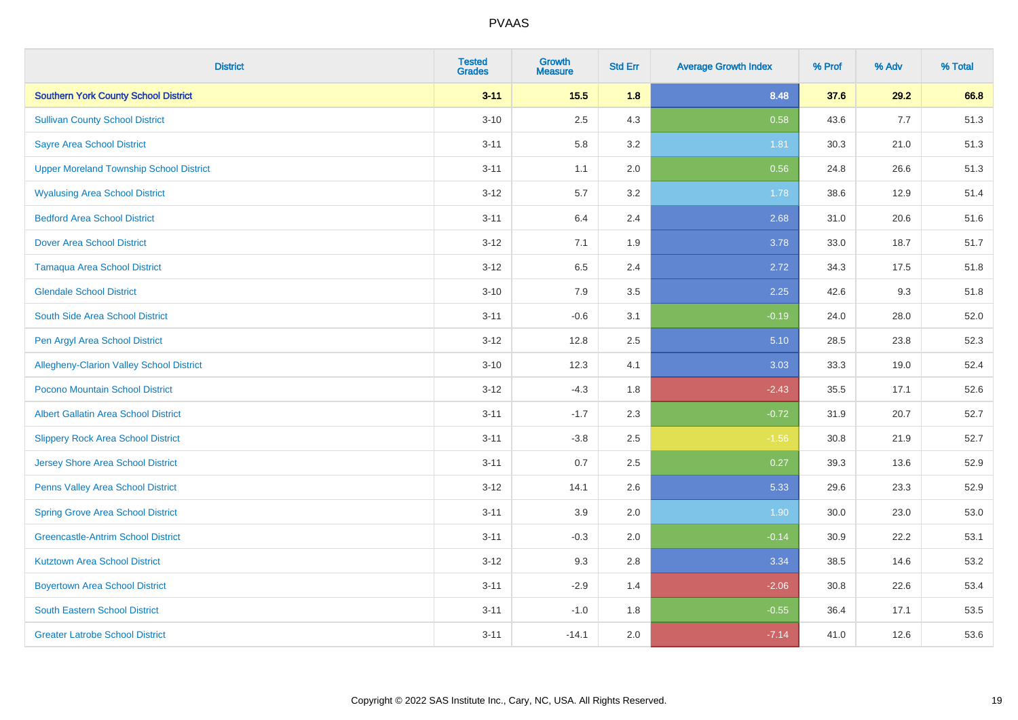| <b>District</b>                                | <b>Tested</b><br><b>Grades</b> | <b>Growth</b><br><b>Measure</b> | <b>Std Err</b> | <b>Average Growth Index</b> | % Prof | % Adv | % Total |
|------------------------------------------------|--------------------------------|---------------------------------|----------------|-----------------------------|--------|-------|---------|
| <b>Southern York County School District</b>    | $3 - 11$                       | 15.5                            | 1.8            | 8.48                        | 37.6   | 29.2  | 66.8    |
| <b>Sullivan County School District</b>         | $3 - 10$                       | 2.5                             | 4.3            | 0.58                        | 43.6   | 7.7   | 51.3    |
| <b>Sayre Area School District</b>              | $3 - 11$                       | 5.8                             | 3.2            | 1.81                        | 30.3   | 21.0  | 51.3    |
| <b>Upper Moreland Township School District</b> | $3 - 11$                       | 1.1                             | 2.0            | 0.56                        | 24.8   | 26.6  | 51.3    |
| <b>Wyalusing Area School District</b>          | $3 - 12$                       | 5.7                             | 3.2            | 1.78                        | 38.6   | 12.9  | 51.4    |
| <b>Bedford Area School District</b>            | $3 - 11$                       | 6.4                             | 2.4            | 2.68                        | 31.0   | 20.6  | 51.6    |
| <b>Dover Area School District</b>              | $3 - 12$                       | 7.1                             | 1.9            | 3.78                        | 33.0   | 18.7  | 51.7    |
| <b>Tamaqua Area School District</b>            | $3 - 12$                       | 6.5                             | 2.4            | 2.72                        | 34.3   | 17.5  | 51.8    |
| <b>Glendale School District</b>                | $3 - 10$                       | 7.9                             | 3.5            | 2.25                        | 42.6   | 9.3   | 51.8    |
| South Side Area School District                | $3 - 11$                       | $-0.6$                          | 3.1            | $-0.19$                     | 24.0   | 28.0  | 52.0    |
| Pen Argyl Area School District                 | $3 - 12$                       | 12.8                            | 2.5            | 5.10                        | 28.5   | 23.8  | 52.3    |
| Allegheny-Clarion Valley School District       | $3 - 10$                       | 12.3                            | 4.1            | 3.03                        | 33.3   | 19.0  | 52.4    |
| Pocono Mountain School District                | $3 - 12$                       | $-4.3$                          | 1.8            | $-2.43$                     | 35.5   | 17.1  | 52.6    |
| <b>Albert Gallatin Area School District</b>    | $3 - 11$                       | $-1.7$                          | 2.3            | $-0.72$                     | 31.9   | 20.7  | 52.7    |
| <b>Slippery Rock Area School District</b>      | $3 - 11$                       | $-3.8$                          | 2.5            | $-1.56$                     | 30.8   | 21.9  | 52.7    |
| <b>Jersey Shore Area School District</b>       | $3 - 11$                       | 0.7                             | 2.5            | 0.27                        | 39.3   | 13.6  | 52.9    |
| Penns Valley Area School District              | $3 - 12$                       | 14.1                            | 2.6            | 5.33                        | 29.6   | 23.3  | 52.9    |
| <b>Spring Grove Area School District</b>       | $3 - 11$                       | 3.9                             | 2.0            | 1.90                        | 30.0   | 23.0  | 53.0    |
| <b>Greencastle-Antrim School District</b>      | $3 - 11$                       | $-0.3$                          | 2.0            | $-0.14$                     | 30.9   | 22.2  | 53.1    |
| <b>Kutztown Area School District</b>           | $3 - 12$                       | 9.3                             | 2.8            | 3.34                        | 38.5   | 14.6  | 53.2    |
| <b>Boyertown Area School District</b>          | $3 - 11$                       | $-2.9$                          | 1.4            | $-2.06$                     | 30.8   | 22.6  | 53.4    |
| <b>South Eastern School District</b>           | $3 - 11$                       | $-1.0$                          | 1.8            | $-0.55$                     | 36.4   | 17.1  | 53.5    |
| <b>Greater Latrobe School District</b>         | $3 - 11$                       | $-14.1$                         | 2.0            | $-7.14$                     | 41.0   | 12.6  | 53.6    |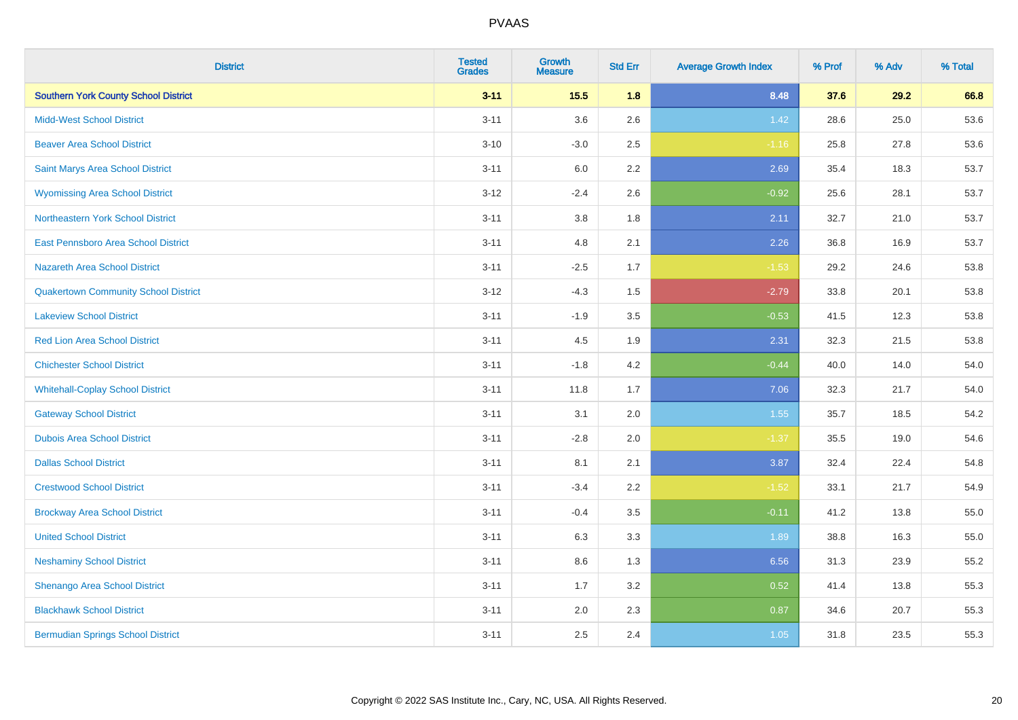| <b>District</b>                             | <b>Tested</b><br><b>Grades</b> | <b>Growth</b><br><b>Measure</b> | <b>Std Err</b> | <b>Average Growth Index</b> | % Prof | % Adv | % Total |
|---------------------------------------------|--------------------------------|---------------------------------|----------------|-----------------------------|--------|-------|---------|
| <b>Southern York County School District</b> | $3 - 11$                       | 15.5                            | 1.8            | 8.48                        | 37.6   | 29.2  | 66.8    |
| <b>Midd-West School District</b>            | $3 - 11$                       | 3.6                             | 2.6            | 1.42                        | 28.6   | 25.0  | 53.6    |
| <b>Beaver Area School District</b>          | $3 - 10$                       | $-3.0$                          | 2.5            | $-1.16$                     | 25.8   | 27.8  | 53.6    |
| Saint Marys Area School District            | $3 - 11$                       | 6.0                             | 2.2            | 2.69                        | 35.4   | 18.3  | 53.7    |
| <b>Wyomissing Area School District</b>      | $3 - 12$                       | $-2.4$                          | 2.6            | $-0.92$                     | 25.6   | 28.1  | 53.7    |
| Northeastern York School District           | $3 - 11$                       | 3.8                             | 1.8            | 2.11                        | 32.7   | 21.0  | 53.7    |
| East Pennsboro Area School District         | $3 - 11$                       | 4.8                             | 2.1            | 2.26                        | 36.8   | 16.9  | 53.7    |
| <b>Nazareth Area School District</b>        | $3 - 11$                       | $-2.5$                          | 1.7            | $-1.53$                     | 29.2   | 24.6  | 53.8    |
| <b>Quakertown Community School District</b> | $3 - 12$                       | $-4.3$                          | 1.5            | $-2.79$                     | 33.8   | 20.1  | 53.8    |
| <b>Lakeview School District</b>             | $3 - 11$                       | $-1.9$                          | 3.5            | $-0.53$                     | 41.5   | 12.3  | 53.8    |
| <b>Red Lion Area School District</b>        | $3 - 11$                       | 4.5                             | 1.9            | 2.31                        | 32.3   | 21.5  | 53.8    |
| <b>Chichester School District</b>           | $3 - 11$                       | $-1.8$                          | 4.2            | $-0.44$                     | 40.0   | 14.0  | 54.0    |
| <b>Whitehall-Coplay School District</b>     | $3 - 11$                       | 11.8                            | 1.7            | 7.06                        | 32.3   | 21.7  | 54.0    |
| <b>Gateway School District</b>              | $3 - 11$                       | 3.1                             | 2.0            | 1.55                        | 35.7   | 18.5  | 54.2    |
| <b>Dubois Area School District</b>          | $3 - 11$                       | $-2.8$                          | 2.0            | $-1.37$                     | 35.5   | 19.0  | 54.6    |
| <b>Dallas School District</b>               | $3 - 11$                       | 8.1                             | 2.1            | 3.87                        | 32.4   | 22.4  | 54.8    |
| <b>Crestwood School District</b>            | $3 - 11$                       | $-3.4$                          | 2.2            | $-1.52$                     | 33.1   | 21.7  | 54.9    |
| <b>Brockway Area School District</b>        | $3 - 11$                       | $-0.4$                          | 3.5            | $-0.11$                     | 41.2   | 13.8  | 55.0    |
| <b>United School District</b>               | $3 - 11$                       | 6.3                             | 3.3            | 1.89                        | 38.8   | 16.3  | 55.0    |
| <b>Neshaminy School District</b>            | $3 - 11$                       | 8.6                             | 1.3            | 6.56                        | 31.3   | 23.9  | 55.2    |
| Shenango Area School District               | $3 - 11$                       | 1.7                             | 3.2            | 0.52                        | 41.4   | 13.8  | 55.3    |
| <b>Blackhawk School District</b>            | $3 - 11$                       | 2.0                             | 2.3            | 0.87                        | 34.6   | 20.7  | 55.3    |
| <b>Bermudian Springs School District</b>    | $3 - 11$                       | 2.5                             | 2.4            | 1.05                        | 31.8   | 23.5  | 55.3    |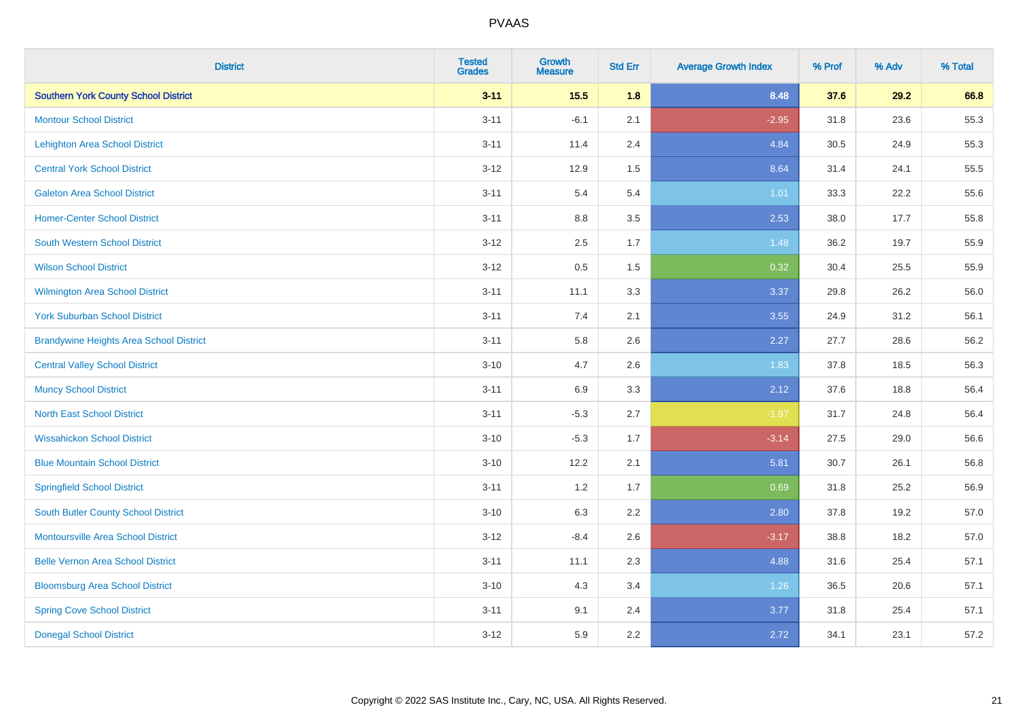| <b>District</b>                                | <b>Tested</b><br><b>Grades</b> | <b>Growth</b><br><b>Measure</b> | <b>Std Err</b> | <b>Average Growth Index</b> | % Prof | % Adv | % Total |
|------------------------------------------------|--------------------------------|---------------------------------|----------------|-----------------------------|--------|-------|---------|
| <b>Southern York County School District</b>    | $3 - 11$                       | 15.5                            | 1.8            | 8.48                        | 37.6   | 29.2  | 66.8    |
| <b>Montour School District</b>                 | $3 - 11$                       | $-6.1$                          | 2.1            | $-2.95$                     | 31.8   | 23.6  | 55.3    |
| <b>Lehighton Area School District</b>          | $3 - 11$                       | 11.4                            | 2.4            | 4.84                        | 30.5   | 24.9  | 55.3    |
| <b>Central York School District</b>            | $3 - 12$                       | 12.9                            | 1.5            | 8.64                        | 31.4   | 24.1  | 55.5    |
| <b>Galeton Area School District</b>            | $3 - 11$                       | 5.4                             | 5.4            | 1.01                        | 33.3   | 22.2  | 55.6    |
| <b>Homer-Center School District</b>            | $3 - 11$                       | 8.8                             | 3.5            | 2.53                        | 38.0   | 17.7  | 55.8    |
| <b>South Western School District</b>           | $3 - 12$                       | 2.5                             | 1.7            | 1.48                        | 36.2   | 19.7  | 55.9    |
| <b>Wilson School District</b>                  | $3 - 12$                       | $0.5\,$                         | 1.5            | 0.32                        | 30.4   | 25.5  | 55.9    |
| <b>Wilmington Area School District</b>         | $3 - 11$                       | 11.1                            | 3.3            | 3.37                        | 29.8   | 26.2  | 56.0    |
| <b>York Suburban School District</b>           | $3 - 11$                       | 7.4                             | 2.1            | 3.55                        | 24.9   | 31.2  | 56.1    |
| <b>Brandywine Heights Area School District</b> | $3 - 11$                       | 5.8                             | 2.6            | 2.27                        | 27.7   | 28.6  | 56.2    |
| <b>Central Valley School District</b>          | $3 - 10$                       | 4.7                             | 2.6            | 1.83                        | 37.8   | 18.5  | 56.3    |
| <b>Muncy School District</b>                   | $3 - 11$                       | 6.9                             | 3.3            | 2.12                        | 37.6   | 18.8  | 56.4    |
| <b>North East School District</b>              | $3 - 11$                       | $-5.3$                          | 2.7            | $-1.97$                     | 31.7   | 24.8  | 56.4    |
| <b>Wissahickon School District</b>             | $3 - 10$                       | $-5.3$                          | 1.7            | $-3.14$                     | 27.5   | 29.0  | 56.6    |
| <b>Blue Mountain School District</b>           | $3 - 10$                       | 12.2                            | 2.1            | 5.81                        | 30.7   | 26.1  | 56.8    |
| <b>Springfield School District</b>             | $3 - 11$                       | 1.2                             | 1.7            | 0.69                        | 31.8   | 25.2  | 56.9    |
| <b>South Butler County School District</b>     | $3 - 10$                       | 6.3                             | 2.2            | 2.80                        | 37.8   | 19.2  | 57.0    |
| <b>Montoursville Area School District</b>      | $3 - 12$                       | $-8.4$                          | 2.6            | $-3.17$                     | 38.8   | 18.2  | 57.0    |
| <b>Belle Vernon Area School District</b>       | $3 - 11$                       | 11.1                            | 2.3            | 4.88                        | 31.6   | 25.4  | 57.1    |
| <b>Bloomsburg Area School District</b>         | $3 - 10$                       | 4.3                             | 3.4            | 1.26                        | 36.5   | 20.6  | 57.1    |
| <b>Spring Cove School District</b>             | $3 - 11$                       | 9.1                             | 2.4            | 3.77                        | 31.8   | 25.4  | 57.1    |
| <b>Donegal School District</b>                 | $3 - 12$                       | 5.9                             | 2.2            | 2.72                        | 34.1   | 23.1  | 57.2    |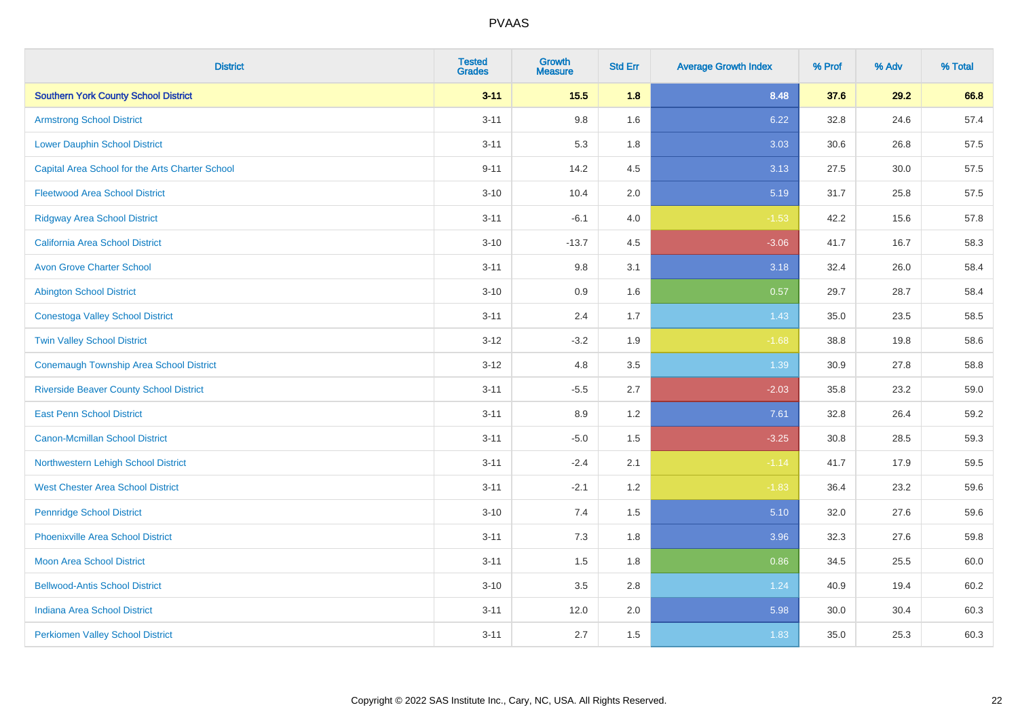| <b>District</b>                                 | <b>Tested</b><br><b>Grades</b> | <b>Growth</b><br><b>Measure</b> | <b>Std Err</b> | <b>Average Growth Index</b> | % Prof | % Adv | % Total |
|-------------------------------------------------|--------------------------------|---------------------------------|----------------|-----------------------------|--------|-------|---------|
| <b>Southern York County School District</b>     | $3 - 11$                       | 15.5                            | 1.8            | 8.48                        | 37.6   | 29.2  | 66.8    |
| <b>Armstrong School District</b>                | $3 - 11$                       | 9.8                             | 1.6            | 6.22                        | 32.8   | 24.6  | 57.4    |
| <b>Lower Dauphin School District</b>            | $3 - 11$                       | 5.3                             | 1.8            | 3.03                        | 30.6   | 26.8  | 57.5    |
| Capital Area School for the Arts Charter School | $9 - 11$                       | 14.2                            | 4.5            | 3.13                        | 27.5   | 30.0  | 57.5    |
| <b>Fleetwood Area School District</b>           | $3 - 10$                       | 10.4                            | 2.0            | 5.19                        | 31.7   | 25.8  | 57.5    |
| <b>Ridgway Area School District</b>             | $3 - 11$                       | $-6.1$                          | 4.0            | $-1.53$                     | 42.2   | 15.6  | 57.8    |
| <b>California Area School District</b>          | $3 - 10$                       | $-13.7$                         | 4.5            | $-3.06$                     | 41.7   | 16.7  | 58.3    |
| <b>Avon Grove Charter School</b>                | $3 - 11$                       | 9.8                             | 3.1            | 3.18                        | 32.4   | 26.0  | 58.4    |
| <b>Abington School District</b>                 | $3 - 10$                       | 0.9                             | 1.6            | 0.57                        | 29.7   | 28.7  | 58.4    |
| <b>Conestoga Valley School District</b>         | $3 - 11$                       | 2.4                             | 1.7            | 1.43                        | 35.0   | 23.5  | 58.5    |
| <b>Twin Valley School District</b>              | $3 - 12$                       | $-3.2$                          | 1.9            | $-1.68$                     | 38.8   | 19.8  | 58.6    |
| <b>Conemaugh Township Area School District</b>  | $3 - 12$                       | 4.8                             | 3.5            | 1.39                        | 30.9   | 27.8  | 58.8    |
| <b>Riverside Beaver County School District</b>  | $3 - 11$                       | $-5.5$                          | 2.7            | $-2.03$                     | 35.8   | 23.2  | 59.0    |
| <b>East Penn School District</b>                | $3 - 11$                       | 8.9                             | 1.2            | 7.61                        | 32.8   | 26.4  | 59.2    |
| <b>Canon-Mcmillan School District</b>           | $3 - 11$                       | $-5.0$                          | 1.5            | $-3.25$                     | 30.8   | 28.5  | 59.3    |
| Northwestern Lehigh School District             | $3 - 11$                       | $-2.4$                          | 2.1            | $-1.14$                     | 41.7   | 17.9  | 59.5    |
| <b>West Chester Area School District</b>        | $3 - 11$                       | $-2.1$                          | 1.2            | $-1.83$                     | 36.4   | 23.2  | 59.6    |
| <b>Pennridge School District</b>                | $3 - 10$                       | 7.4                             | 1.5            | 5.10                        | 32.0   | 27.6  | 59.6    |
| <b>Phoenixville Area School District</b>        | $3 - 11$                       | 7.3                             | 1.8            | 3.96                        | 32.3   | 27.6  | 59.8    |
| <b>Moon Area School District</b>                | $3 - 11$                       | 1.5                             | 1.8            | 0.86                        | 34.5   | 25.5  | 60.0    |
| <b>Bellwood-Antis School District</b>           | $3 - 10$                       | 3.5                             | 2.8            | 1.24                        | 40.9   | 19.4  | 60.2    |
| <b>Indiana Area School District</b>             | $3 - 11$                       | 12.0                            | 2.0            | 5.98                        | 30.0   | 30.4  | 60.3    |
| <b>Perkiomen Valley School District</b>         | $3 - 11$                       | 2.7                             | 1.5            | 1.83                        | 35.0   | 25.3  | 60.3    |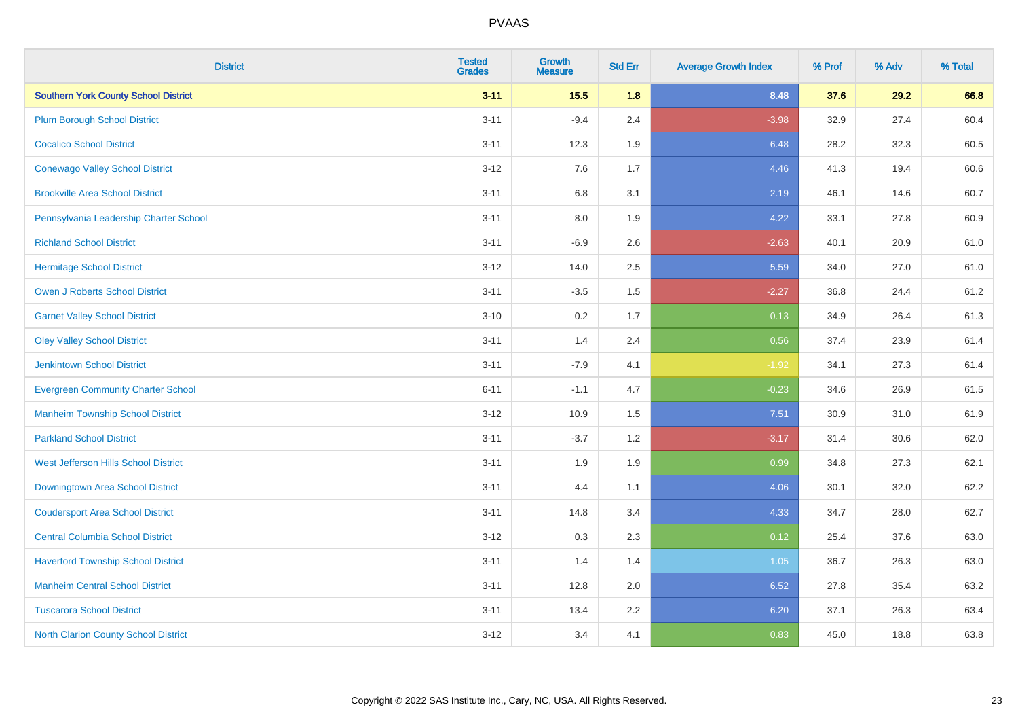| <b>District</b>                             | <b>Tested</b><br><b>Grades</b> | <b>Growth</b><br><b>Measure</b> | <b>Std Err</b> | <b>Average Growth Index</b> | % Prof | % Adv | % Total |
|---------------------------------------------|--------------------------------|---------------------------------|----------------|-----------------------------|--------|-------|---------|
| <b>Southern York County School District</b> | $3 - 11$                       | 15.5                            | 1.8            | 8.48                        | 37.6   | 29.2  | 66.8    |
| <b>Plum Borough School District</b>         | $3 - 11$                       | $-9.4$                          | 2.4            | $-3.98$                     | 32.9   | 27.4  | 60.4    |
| <b>Cocalico School District</b>             | $3 - 11$                       | 12.3                            | 1.9            | 6.48                        | 28.2   | 32.3  | 60.5    |
| <b>Conewago Valley School District</b>      | $3 - 12$                       | 7.6                             | 1.7            | 4.46                        | 41.3   | 19.4  | 60.6    |
| <b>Brookville Area School District</b>      | $3 - 11$                       | 6.8                             | 3.1            | 2.19                        | 46.1   | 14.6  | 60.7    |
| Pennsylvania Leadership Charter School      | $3 - 11$                       | 8.0                             | 1.9            | 4.22                        | 33.1   | 27.8  | 60.9    |
| <b>Richland School District</b>             | $3 - 11$                       | $-6.9$                          | 2.6            | $-2.63$                     | 40.1   | 20.9  | 61.0    |
| <b>Hermitage School District</b>            | $3 - 12$                       | 14.0                            | 2.5            | 5.59                        | 34.0   | 27.0  | 61.0    |
| <b>Owen J Roberts School District</b>       | $3 - 11$                       | $-3.5$                          | 1.5            | $-2.27$                     | 36.8   | 24.4  | 61.2    |
| <b>Garnet Valley School District</b>        | $3 - 10$                       | 0.2                             | 1.7            | 0.13                        | 34.9   | 26.4  | 61.3    |
| <b>Oley Valley School District</b>          | $3 - 11$                       | 1.4                             | 2.4            | 0.56                        | 37.4   | 23.9  | 61.4    |
| <b>Jenkintown School District</b>           | $3 - 11$                       | $-7.9$                          | 4.1            | $-1.92$                     | 34.1   | 27.3  | 61.4    |
| <b>Evergreen Community Charter School</b>   | $6 - 11$                       | $-1.1$                          | 4.7            | $-0.23$                     | 34.6   | 26.9  | 61.5    |
| <b>Manheim Township School District</b>     | $3 - 12$                       | 10.9                            | 1.5            | 7.51                        | 30.9   | 31.0  | 61.9    |
| <b>Parkland School District</b>             | $3 - 11$                       | $-3.7$                          | 1.2            | $-3.17$                     | 31.4   | 30.6  | 62.0    |
| West Jefferson Hills School District        | $3 - 11$                       | 1.9                             | 1.9            | 0.99                        | 34.8   | 27.3  | 62.1    |
| <b>Downingtown Area School District</b>     | $3 - 11$                       | 4.4                             | 1.1            | 4.06                        | 30.1   | 32.0  | 62.2    |
| <b>Coudersport Area School District</b>     | $3 - 11$                       | 14.8                            | 3.4            | 4.33                        | 34.7   | 28.0  | 62.7    |
| <b>Central Columbia School District</b>     | $3 - 12$                       | 0.3                             | 2.3            | 0.12                        | 25.4   | 37.6  | 63.0    |
| <b>Haverford Township School District</b>   | $3 - 11$                       | 1.4                             | 1.4            | 1.05                        | 36.7   | 26.3  | 63.0    |
| <b>Manheim Central School District</b>      | $3 - 11$                       | 12.8                            | 2.0            | 6.52                        | 27.8   | 35.4  | 63.2    |
| <b>Tuscarora School District</b>            | $3 - 11$                       | 13.4                            | 2.2            | 6.20                        | 37.1   | 26.3  | 63.4    |
| <b>North Clarion County School District</b> | $3 - 12$                       | 3.4                             | 4.1            | 0.83                        | 45.0   | 18.8  | 63.8    |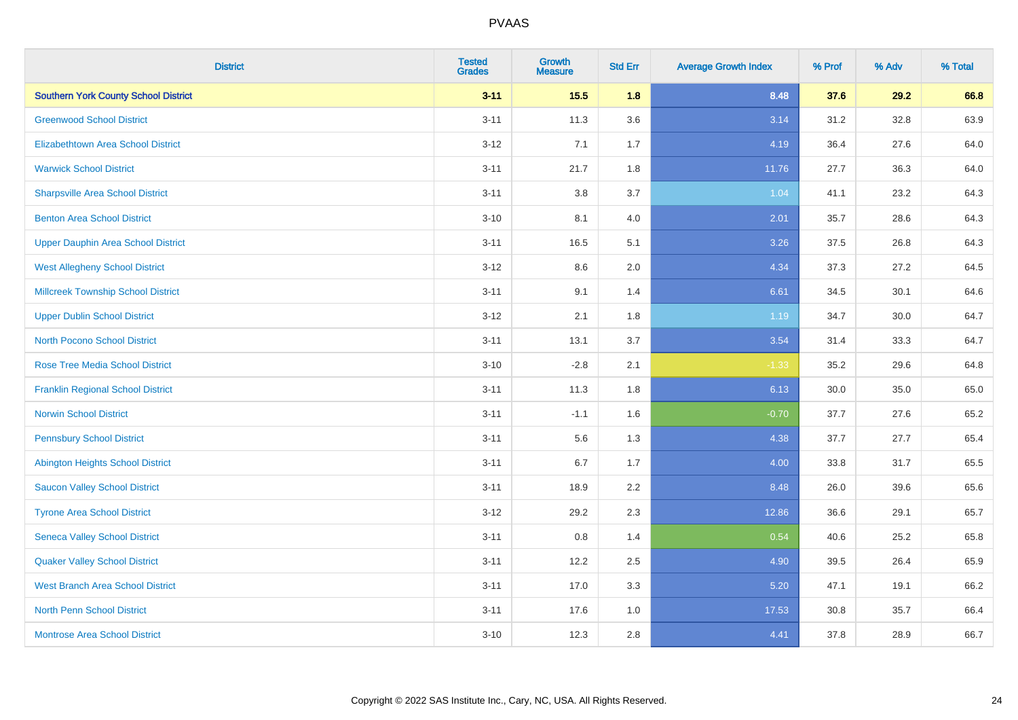| <b>District</b>                             | <b>Tested</b><br><b>Grades</b> | <b>Growth</b><br><b>Measure</b> | <b>Std Err</b> | <b>Average Growth Index</b> | % Prof | % Adv | % Total |
|---------------------------------------------|--------------------------------|---------------------------------|----------------|-----------------------------|--------|-------|---------|
| <b>Southern York County School District</b> | $3 - 11$                       | 15.5                            | 1.8            | 8.48                        | 37.6   | 29.2  | 66.8    |
| <b>Greenwood School District</b>            | $3 - 11$                       | 11.3                            | 3.6            | 3.14                        | 31.2   | 32.8  | 63.9    |
| <b>Elizabethtown Area School District</b>   | $3 - 12$                       | 7.1                             | 1.7            | 4.19                        | 36.4   | 27.6  | 64.0    |
| <b>Warwick School District</b>              | $3 - 11$                       | 21.7                            | 1.8            | 11.76                       | 27.7   | 36.3  | 64.0    |
| <b>Sharpsville Area School District</b>     | $3 - 11$                       | 3.8                             | 3.7            | 1.04                        | 41.1   | 23.2  | 64.3    |
| <b>Benton Area School District</b>          | $3 - 10$                       | 8.1                             | 4.0            | 2.01                        | 35.7   | 28.6  | 64.3    |
| <b>Upper Dauphin Area School District</b>   | $3 - 11$                       | 16.5                            | 5.1            | 3.26                        | 37.5   | 26.8  | 64.3    |
| <b>West Allegheny School District</b>       | $3 - 12$                       | $8.6\,$                         | 2.0            | 4.34                        | 37.3   | 27.2  | 64.5    |
| <b>Millcreek Township School District</b>   | $3 - 11$                       | 9.1                             | 1.4            | 6.61                        | 34.5   | 30.1  | 64.6    |
| <b>Upper Dublin School District</b>         | $3 - 12$                       | 2.1                             | 1.8            | 1.19                        | 34.7   | 30.0  | 64.7    |
| <b>North Pocono School District</b>         | $3 - 11$                       | 13.1                            | 3.7            | 3.54                        | 31.4   | 33.3  | 64.7    |
| <b>Rose Tree Media School District</b>      | $3 - 10$                       | $-2.8$                          | 2.1            | $-1.33$                     | 35.2   | 29.6  | 64.8    |
| <b>Franklin Regional School District</b>    | $3 - 11$                       | 11.3                            | 1.8            | 6.13                        | 30.0   | 35.0  | 65.0    |
| <b>Norwin School District</b>               | $3 - 11$                       | $-1.1$                          | 1.6            | $-0.70$                     | 37.7   | 27.6  | 65.2    |
| <b>Pennsbury School District</b>            | $3 - 11$                       | 5.6                             | 1.3            | 4.38                        | 37.7   | 27.7  | 65.4    |
| <b>Abington Heights School District</b>     | $3 - 11$                       | 6.7                             | 1.7            | 4.00                        | 33.8   | 31.7  | 65.5    |
| <b>Saucon Valley School District</b>        | $3 - 11$                       | 18.9                            | 2.2            | 8.48                        | 26.0   | 39.6  | 65.6    |
| <b>Tyrone Area School District</b>          | $3 - 12$                       | 29.2                            | 2.3            | 12.86                       | 36.6   | 29.1  | 65.7    |
| <b>Seneca Valley School District</b>        | $3 - 11$                       | $0.8\,$                         | 1.4            | 0.54                        | 40.6   | 25.2  | 65.8    |
| <b>Quaker Valley School District</b>        | $3 - 11$                       | 12.2                            | 2.5            | 4.90                        | 39.5   | 26.4  | 65.9    |
| <b>West Branch Area School District</b>     | $3 - 11$                       | 17.0                            | 3.3            | 5.20                        | 47.1   | 19.1  | 66.2    |
| <b>North Penn School District</b>           | $3 - 11$                       | 17.6                            | 1.0            | 17.53                       | 30.8   | 35.7  | 66.4    |
| <b>Montrose Area School District</b>        | $3 - 10$                       | 12.3                            | 2.8            | 4.41                        | 37.8   | 28.9  | 66.7    |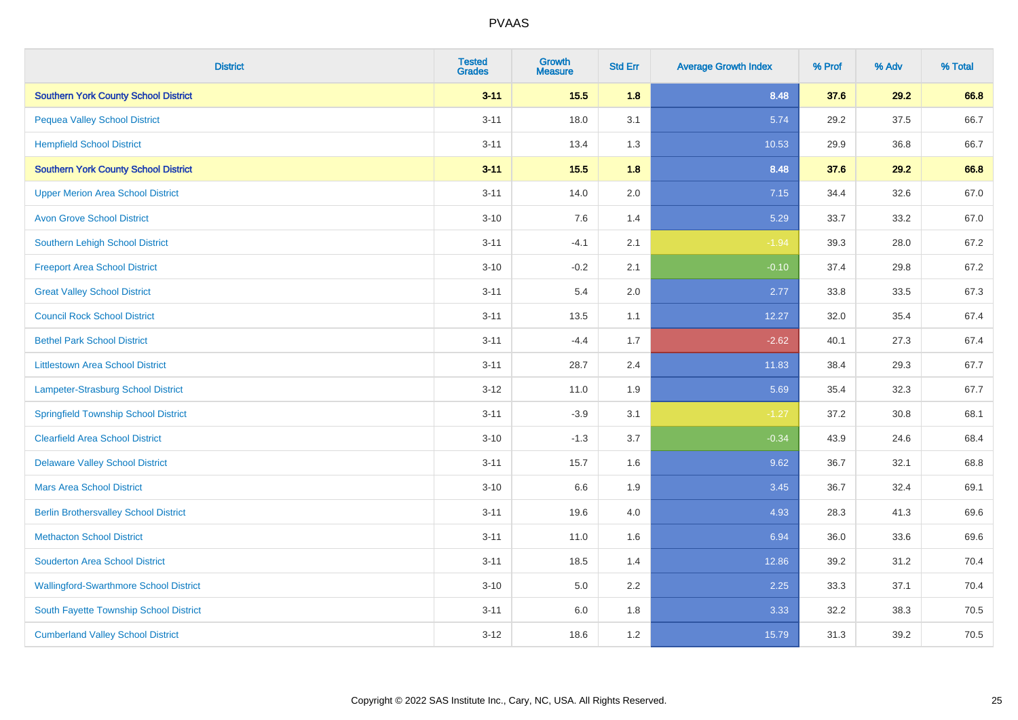| <b>District</b>                               | <b>Tested</b><br><b>Grades</b> | <b>Growth</b><br><b>Measure</b> | <b>Std Err</b> | <b>Average Growth Index</b> | % Prof | % Adv | % Total |
|-----------------------------------------------|--------------------------------|---------------------------------|----------------|-----------------------------|--------|-------|---------|
| <b>Southern York County School District</b>   | $3 - 11$                       | $15.5$                          | 1.8            | 8.48                        | 37.6   | 29.2  | 66.8    |
| <b>Pequea Valley School District</b>          | $3 - 11$                       | 18.0                            | 3.1            | 5.74                        | 29.2   | 37.5  | 66.7    |
| <b>Hempfield School District</b>              | $3 - 11$                       | 13.4                            | 1.3            | 10.53                       | 29.9   | 36.8  | 66.7    |
| <b>Southern York County School District</b>   | $3 - 11$                       | 15.5                            | 1.8            | 8.48                        | 37.6   | 29.2  | 66.8    |
| <b>Upper Merion Area School District</b>      | $3 - 11$                       | 14.0                            | 2.0            | 7.15                        | 34.4   | 32.6  | 67.0    |
| <b>Avon Grove School District</b>             | $3 - 10$                       | 7.6                             | 1.4            | 5.29                        | 33.7   | 33.2  | 67.0    |
| Southern Lehigh School District               | $3 - 11$                       | $-4.1$                          | 2.1            | $-1.94$                     | 39.3   | 28.0  | 67.2    |
| <b>Freeport Area School District</b>          | $3 - 10$                       | $-0.2$                          | 2.1            | $-0.10$                     | 37.4   | 29.8  | 67.2    |
| <b>Great Valley School District</b>           | $3 - 11$                       | 5.4                             | 2.0            | 2.77                        | 33.8   | 33.5  | 67.3    |
| <b>Council Rock School District</b>           | $3 - 11$                       | 13.5                            | 1.1            | 12.27                       | 32.0   | 35.4  | 67.4    |
| <b>Bethel Park School District</b>            | $3 - 11$                       | $-4.4$                          | 1.7            | $-2.62$                     | 40.1   | 27.3  | 67.4    |
| <b>Littlestown Area School District</b>       | $3 - 11$                       | 28.7                            | 2.4            | 11.83                       | 38.4   | 29.3  | 67.7    |
| Lampeter-Strasburg School District            | $3 - 12$                       | 11.0                            | 1.9            | 5.69                        | 35.4   | 32.3  | 67.7    |
| <b>Springfield Township School District</b>   | $3 - 11$                       | $-3.9$                          | 3.1            | $-1.27$                     | 37.2   | 30.8  | 68.1    |
| <b>Clearfield Area School District</b>        | $3 - 10$                       | $-1.3$                          | 3.7            | $-0.34$                     | 43.9   | 24.6  | 68.4    |
| <b>Delaware Valley School District</b>        | $3 - 11$                       | 15.7                            | 1.6            | 9.62                        | 36.7   | 32.1  | 68.8    |
| <b>Mars Area School District</b>              | $3 - 10$                       | 6.6                             | 1.9            | 3.45                        | 36.7   | 32.4  | 69.1    |
| <b>Berlin Brothersvalley School District</b>  | $3 - 11$                       | 19.6                            | 4.0            | 4.93                        | 28.3   | 41.3  | 69.6    |
| <b>Methacton School District</b>              | $3 - 11$                       | 11.0                            | 1.6            | 6.94                        | 36.0   | 33.6  | 69.6    |
| <b>Souderton Area School District</b>         | $3 - 11$                       | 18.5                            | 1.4            | 12.86                       | 39.2   | 31.2  | 70.4    |
| <b>Wallingford-Swarthmore School District</b> | $3 - 10$                       | 5.0                             | 2.2            | 2.25                        | 33.3   | 37.1  | 70.4    |
| South Fayette Township School District        | $3 - 11$                       | 6.0                             | 1.8            | 3.33                        | 32.2   | 38.3  | 70.5    |
| <b>Cumberland Valley School District</b>      | $3 - 12$                       | 18.6                            | 1.2            | 15.79                       | 31.3   | 39.2  | 70.5    |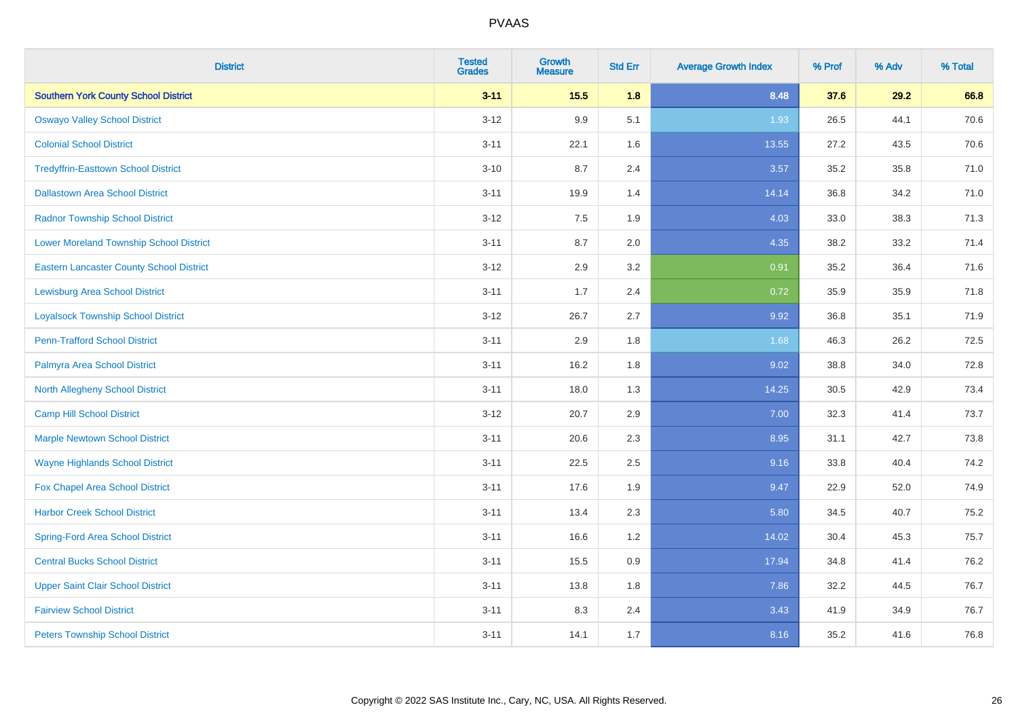| <b>District</b>                                 | <b>Tested</b><br><b>Grades</b> | <b>Growth</b><br><b>Measure</b> | <b>Std Err</b> | <b>Average Growth Index</b> | % Prof | % Adv | % Total |
|-------------------------------------------------|--------------------------------|---------------------------------|----------------|-----------------------------|--------|-------|---------|
| <b>Southern York County School District</b>     | $3 - 11$                       | 15.5                            | 1.8            | 8.48                        | 37.6   | 29.2  | 66.8    |
| <b>Oswayo Valley School District</b>            | $3 - 12$                       | 9.9                             | 5.1            | 1.93                        | 26.5   | 44.1  | 70.6    |
| <b>Colonial School District</b>                 | $3 - 11$                       | 22.1                            | 1.6            | 13.55                       | 27.2   | 43.5  | 70.6    |
| <b>Tredyffrin-Easttown School District</b>      | $3 - 10$                       | 8.7                             | 2.4            | 3.57                        | 35.2   | 35.8  | 71.0    |
| <b>Dallastown Area School District</b>          | $3 - 11$                       | 19.9                            | 1.4            | 14.14                       | 36.8   | 34.2  | 71.0    |
| <b>Radnor Township School District</b>          | $3 - 12$                       | 7.5                             | 1.9            | 4.03                        | 33.0   | 38.3  | 71.3    |
| <b>Lower Moreland Township School District</b>  | $3 - 11$                       | 8.7                             | 2.0            | 4.35                        | 38.2   | 33.2  | 71.4    |
| <b>Eastern Lancaster County School District</b> | $3 - 12$                       | 2.9                             | 3.2            | 0.91                        | 35.2   | 36.4  | 71.6    |
| <b>Lewisburg Area School District</b>           | $3 - 11$                       | 1.7                             | 2.4            | 0.72                        | 35.9   | 35.9  | 71.8    |
| <b>Loyalsock Township School District</b>       | $3-12$                         | 26.7                            | 2.7            | 9.92                        | 36.8   | 35.1  | 71.9    |
| <b>Penn-Trafford School District</b>            | $3 - 11$                       | 2.9                             | 1.8            | 1.68                        | 46.3   | 26.2  | 72.5    |
| Palmyra Area School District                    | $3 - 11$                       | 16.2                            | 1.8            | 9.02                        | 38.8   | 34.0  | 72.8    |
| North Allegheny School District                 | $3 - 11$                       | 18.0                            | 1.3            | 14.25                       | 30.5   | 42.9  | 73.4    |
| <b>Camp Hill School District</b>                | $3 - 12$                       | 20.7                            | 2.9            | 7.00                        | 32.3   | 41.4  | 73.7    |
| <b>Marple Newtown School District</b>           | $3 - 11$                       | 20.6                            | 2.3            | 8.95                        | 31.1   | 42.7  | 73.8    |
| <b>Wayne Highlands School District</b>          | $3 - 11$                       | 22.5                            | 2.5            | 9.16                        | 33.8   | 40.4  | 74.2    |
| Fox Chapel Area School District                 | $3 - 11$                       | 17.6                            | 1.9            | 9.47                        | 22.9   | 52.0  | 74.9    |
| <b>Harbor Creek School District</b>             | $3 - 11$                       | 13.4                            | 2.3            | 5.80                        | 34.5   | 40.7  | 75.2    |
| <b>Spring-Ford Area School District</b>         | $3 - 11$                       | 16.6                            | 1.2            | 14.02                       | 30.4   | 45.3  | 75.7    |
| <b>Central Bucks School District</b>            | $3 - 11$                       | 15.5                            | 0.9            | 17.94                       | 34.8   | 41.4  | 76.2    |
| <b>Upper Saint Clair School District</b>        | $3 - 11$                       | 13.8                            | 1.8            | 7.86                        | 32.2   | 44.5  | 76.7    |
| <b>Fairview School District</b>                 | $3 - 11$                       | 8.3                             | 2.4            | 3.43                        | 41.9   | 34.9  | 76.7    |
| <b>Peters Township School District</b>          | $3 - 11$                       | 14.1                            | 1.7            | 8.16                        | 35.2   | 41.6  | 76.8    |